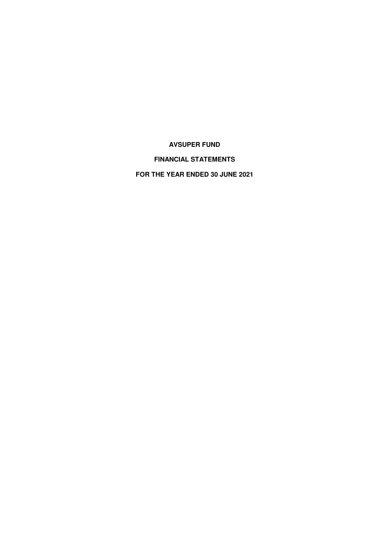# **FINANCIAL STATEMENTS**

**FOR THE YEAR ENDED 30 JUNE 2021**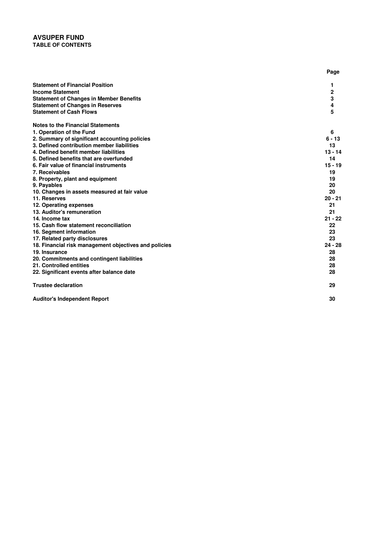# **AVSUPER FUND TABLE OF CONTENTS**

|                                                       | Page         |
|-------------------------------------------------------|--------------|
| <b>Statement of Financial Position</b>                | 1            |
| <b>Income Statement</b>                               | $\mathbf{2}$ |
| <b>Statement of Changes in Member Benefits</b>        | 3            |
| <b>Statement of Changes in Reserves</b>               | 4            |
| <b>Statement of Cash Flows</b>                        | 5            |
| <b>Notes to the Financial Statements</b>              |              |
| 1. Operation of the Fund                              | 6            |
| 2. Summary of significant accounting policies         | $6 - 13$     |
| 3. Defined contribution member liabilities            | 13           |
| 4. Defined benefit member liabilities                 | $13 - 14$    |
| 5. Defined benefits that are overfunded               | 14           |
| 6. Fair value of financial instruments                | $15 - 19$    |
| 7. Receivables                                        | 19           |
| 8. Property, plant and equipment                      | 19           |
| 9. Payables                                           | 20           |
| 10. Changes in assets measured at fair value          | 20           |
| 11. Reserves                                          | $20 - 21$    |
| 12. Operating expenses                                | 21           |
| 13. Auditor's remuneration                            | 21           |
| 14. Income tax                                        | $21 - 22$    |
| 15. Cash flow statement reconciliation                | 22           |
| 16. Segment information                               | 23           |
| 17. Related party disclosures                         | 23           |
| 18. Financial risk management objectives and policies | $24 - 28$    |
| 19. Insurance                                         | 28           |
| 20. Commitments and contingent liabilities            | 28           |
| 21. Controlled entities                               | 28           |
| 22. Significant events after balance date             | 28           |
| <b>Trustee declaration</b>                            | 29           |
| <b>Auditor's Independent Report</b>                   | 30           |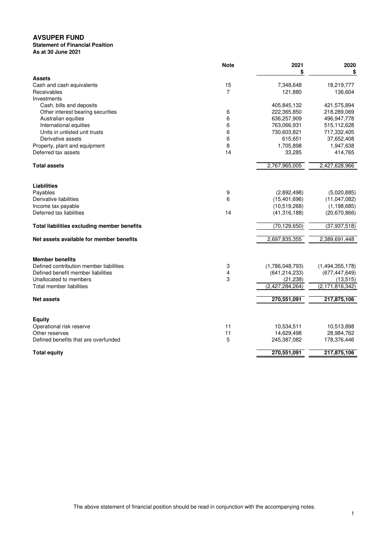### **As at 30 June 2021 Statement of Financial Position**

|                                             | <b>Note</b>    | 2021            | 2020               |
|---------------------------------------------|----------------|-----------------|--------------------|
| <b>Assets</b>                               |                | \$              | \$                 |
| Cash and cash equivalents                   | 15             | 7,348,648       | 18,219,777         |
| Receivables                                 | $\overline{7}$ | 121,880         | 136,604            |
| Investments                                 |                |                 |                    |
| Cash, bills and deposits                    |                | 405,845,132     | 421,575,894        |
| Other interest bearing securities           | 6              | 222,365,850     | 218,289,069        |
| Australian equities                         | 6              | 636,257,909     | 496,947,778        |
| International equities                      | 6              | 763,066,931     | 515,112,628        |
| Units in unlisted unit trusts               | 6              | 730,603,821     | 717,332,405        |
| Derivative assets                           | 6              | 615,651         | 37,652,408         |
| Property, plant and equipment               | 8              | 1,705,898       | 1,947,638          |
| Deferred tax assets                         | 14             | 33,285          | 414,765            |
| <b>Total assets</b>                         |                | 2,767,965,005   | 2,427,628,966      |
|                                             |                |                 |                    |
| Liabilities                                 |                |                 |                    |
| Payables                                    | 9              | (2,892,498)     | (5,020,885)        |
| Derivative liabilities                      | 6              | (15, 401, 696)  | (11,047,082)       |
| Income tax payable                          |                | (10,519,268)    | (1, 198, 685)      |
| Deferred tax liabilities                    | 14             | (41, 316, 188)  | (20,670,866)       |
| Total liabilities excluding member benefits |                | (70, 129, 650)  | (37, 937, 518)     |
| Net assets available for member benefits    |                | 2,697,835,355   | 2,389,691,448      |
| <b>Member benefits</b>                      |                |                 |                    |
| Defined contribution member liabilities     | 3              | (1,786,048,793) | (1,494,355,178)    |
| Defined benefit member liabilities          | 4              | (641, 214, 233) | (677, 447, 649)    |
| Unallocated to members                      | 3              | (21, 238)       | (13, 515)          |
| Total member liabilities                    |                | (2,427,284,264) | (2, 171, 816, 342) |
| <b>Net assets</b>                           |                | 270,551,091     | 217,875,106        |
|                                             |                |                 |                    |
| <b>Equity</b>                               |                |                 |                    |
| Operational risk reserve                    | 11             | 10,534,511      | 10,513,898         |
| Other reserves                              | 11             | 14,629,498      | 28,984,762         |
| Defined benefits that are overfunded        | 5              | 245,387,082     | 178,376,446        |
| <b>Total equity</b>                         |                | 270,551,091     | 217,875,106        |

The above statement of financial position should be read in conjunction with the accompanying notes.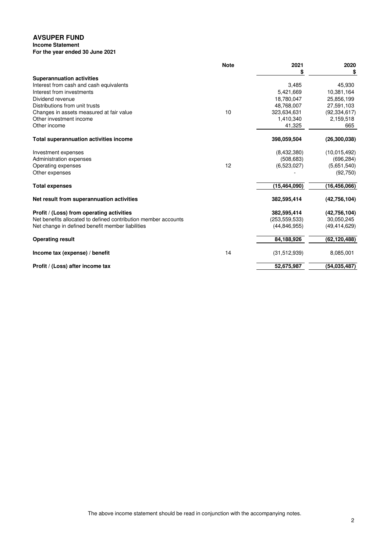# **Income Statement**

**For the year ended 30 June 2021**

|                                                                | <b>Note</b> | 2021            | 2020           |
|----------------------------------------------------------------|-------------|-----------------|----------------|
|                                                                |             | S               | S              |
| <b>Superannuation activities</b>                               |             |                 |                |
| Interest from cash and cash equivalents                        |             | 3.485           | 45.930         |
| Interest from investments                                      |             | 5,421,669       | 10,381,164     |
| Dividend revenue                                               |             | 18,780,047      | 25,856,199     |
| Distributions from unit trusts                                 |             | 48,768,007      | 27,591,103     |
| Changes in assets measured at fair value                       | 10          | 323,634,631     | (92, 334, 617) |
| Other investment income                                        |             | 1,410,340       | 2,159,518      |
| Other income                                                   |             | 41,325          | 665            |
| <b>Total superannuation activities income</b>                  |             | 398,059,504     | (26, 300, 038) |
| Investment expenses                                            |             | (8,432,380)     | (10,015,492)   |
| Administration expenses                                        |             | (508, 683)      | (696, 284)     |
| Operating expenses                                             | 12          | (6,523,027)     | (5,651,540)    |
| Other expenses                                                 |             |                 | (92, 750)      |
| <b>Total expenses</b>                                          |             | (15, 464, 090)  | (16, 456, 066) |
| Net result from superannuation activities                      |             | 382,595,414     | (42,756,104)   |
| Profit / (Loss) from operating activities                      |             | 382,595,414     | (42,756,104)   |
| Net benefits allocated to defined contribution member accounts |             | (253, 559, 533) | 30,050,245     |
| Net change in defined benefit member liabilities               |             | (44, 846, 955)  | (49, 414, 629) |
| <b>Operating result</b>                                        |             | 84,188,926      | (62, 120, 488) |
| Income tax (expense) / benefit                                 | 14          | (31, 512, 939)  | 8,085,001      |
| Profit / (Loss) after income tax                               |             | 52,675,987      | (54.035.487)   |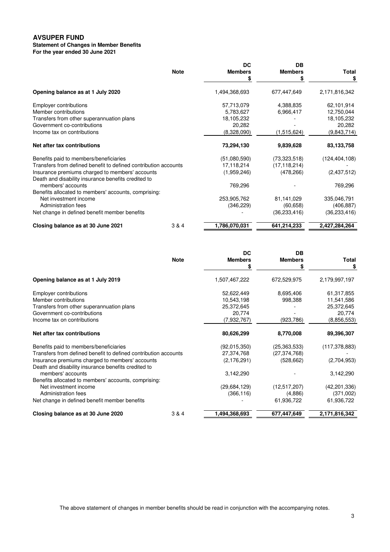### **Statement of Changes in Member Benefits**

**For the year ended 30 June 2021**

|                                                                 |             | DC             | DВ             |                 |
|-----------------------------------------------------------------|-------------|----------------|----------------|-----------------|
|                                                                 | <b>Note</b> | <b>Members</b> | <b>Members</b> | Total           |
|                                                                 |             | \$             | \$             | \$              |
| Opening balance as at 1 July 2020                               |             | 1,494,368,693  | 677,447,649    | 2,171,816,342   |
| <b>Employer contributions</b>                                   |             | 57,713,079     | 4,388,835      | 62,101,914      |
| Member contributions                                            |             | 5,783,627      | 6,966,417      | 12,750,044      |
| Transfers from other superannuation plans                       |             | 18,105,232     |                | 18,105,232      |
| Government co-contributions                                     |             | 20,282         |                | 20,282          |
| Income tax on contributions                                     |             | (8,328,090)    | (1,515,624)    | (9,843,714)     |
| Net after tax contributions                                     |             | 73,294,130     | 9,839,628      | 83,133,758      |
| Benefits paid to members/beneficiaries                          |             | (51,080,590)   | (73,323,518)   | (124, 404, 108) |
| Transfers from defined benefit to defined contribution accounts |             | 17,118,214     | (17, 118, 214) |                 |
| Insurance premiums charged to members' accounts                 |             | (1,959,246)    | (478, 266)     | (2,437,512)     |
| Death and disability insurance benefits credited to             |             |                |                |                 |
| members' accounts                                               |             | 769,296        |                | 769,296         |
| Benefits allocated to members' accounts, comprising:            |             |                |                |                 |
| Net investment income                                           |             | 253,905,762    | 81,141,029     | 335,046,791     |
| Administration fees                                             |             | (346, 229)     | (60, 658)      | (406, 887)      |
| Net change in defined benefit member benefits                   |             |                | (36, 233, 416) | (36, 233, 416)  |
| Closing balance as at 30 June 2021                              | 3 & 4       | 1,786,070,031  | 641,214,233    | 2,427,284,264   |

|                                                                 |             | DC             | DB             |                 |
|-----------------------------------------------------------------|-------------|----------------|----------------|-----------------|
|                                                                 | <b>Note</b> | <b>Members</b> | <b>Members</b> | Total           |
|                                                                 |             | \$             | \$             | \$              |
| Opening balance as at 1 July 2019                               |             | 1,507,467,222  | 672,529,975    | 2,179,997,197   |
| <b>Employer contributions</b>                                   |             | 52,622,449     | 8,695,406      | 61,317,855      |
| Member contributions                                            |             | 10,543,198     | 998,388        | 11,541,586      |
| Transfers from other superannuation plans                       |             | 25,372,645     |                | 25,372,645      |
| Government co-contributions                                     |             | 20,774         |                | 20,774          |
| Income tax on contributions                                     |             | (7,932,767)    | (923,786)      | (8,856,553)     |
| Net after tax contributions                                     |             | 80,626,299     | 8,770,008      | 89,396,307      |
| Benefits paid to members/beneficiaries                          |             | (92,015,350)   | (25, 363, 533) | (117, 378, 883) |
| Transfers from defined benefit to defined contribution accounts |             | 27,374,768     | (27, 374, 768) |                 |
| Insurance premiums charged to members' accounts                 |             | (2, 176, 291)  | (528, 662)     | (2,704,953)     |
| Death and disability insurance benefits credited to             |             |                |                |                 |
| members' accounts                                               |             | 3,142,290      |                | 3,142,290       |
| Benefits allocated to members' accounts, comprising:            |             |                |                |                 |
| Net investment income                                           |             | (29,684,129)   | (12,517,207)   | (42, 201, 336)  |
| Administration fees                                             |             | (366, 116)     | (4,886)        | (371,002)       |
| Net change in defined benefit member benefits                   |             |                | 61,936,722     | 61,936,722      |
| Closing balance as at 30 June 2020                              | 3 & 4       | 1,494,368,693  | 677,447,649    | 2,171,816,342   |

The above statement of changes in member benefits should be read in conjunction with the accompanying notes.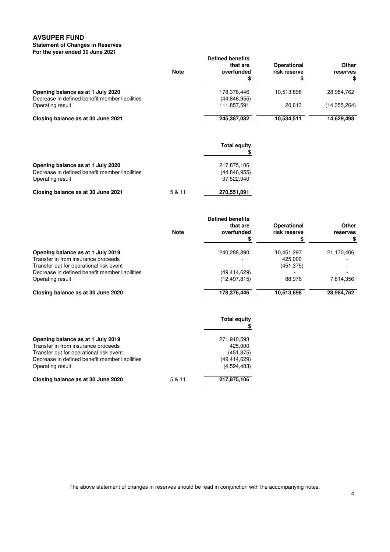#### **Statement of Changes in Reserves For the year ended 30 June 2021**

|                                                | <b>Note</b> | <b>Defined benefits</b><br>that are<br>overfunded | Operational<br>risk reserve | Other<br>reserves |
|------------------------------------------------|-------------|---------------------------------------------------|-----------------------------|-------------------|
| Opening balance as at 1 July 2020              |             | 178,376,446                                       | 10.513.898                  | 28.984.762        |
| Decrease in defined benefit member liabilities |             | (44, 846, 955)                                    |                             |                   |
| Operating result                               |             | 111,857,591                                       | 20.613                      | (14.355.264)      |
| Closing balance as at 30 June 2021             |             | 245,387,082                                       | 10,534,511                  | 14,629,498        |

|                                                |        | <b>Total equity</b> |
|------------------------------------------------|--------|---------------------|
| Opening balance as at 1 July 2020              |        | 217.875.106         |
| Decrease in defined benefit member liabilities |        | (44, 846, 955)      |
| Operating result                               |        | 97.522.940          |
| Closing balance as at 30 June 2021             | 5 & 11 | 270,551,091         |

|                                                | <b>Note</b> | <b>Defined benefits</b><br>that are<br>overfunded | Operational<br>risk reserve | Other<br>reserves<br>\$ |
|------------------------------------------------|-------------|---------------------------------------------------|-----------------------------|-------------------------|
| Opening balance as at 1 July 2019              |             | 240,288,890                                       | 10,451,297                  | 21,170,406              |
| Transfer in from insurance proceeds            |             |                                                   | 425.000                     |                         |
| Transfer out for operational risk event        |             |                                                   | (451, 375)                  |                         |
| Decrease in defined benefit member liabilities |             | (49, 414, 629)                                    |                             |                         |
| Operating result                               |             | (12, 497, 815)                                    | 88.976                      | 7,814,356               |
| Closing balance as at 30 June 2020             |             | 178,376,446                                       | 10,513,898                  | 28,984,762              |

|                                                                                                                                                                                           |        | <b>Total equity</b>                                                 |
|-------------------------------------------------------------------------------------------------------------------------------------------------------------------------------------------|--------|---------------------------------------------------------------------|
| Opening balance as at 1 July 2019<br>Transfer in from insurance proceeds<br>Transfer out for operational risk event<br>Decrease in defined benefit member liabilities<br>Operating result |        | 271,910,593<br>425,000<br>(451, 375)<br>(49,414,629)<br>(4,594,483) |
| Closing balance as at 30 June 2020                                                                                                                                                        | 5 & 11 | 217,875,106                                                         |

The above statement of changes in reserves should be read in conjunction with the accompanying notes.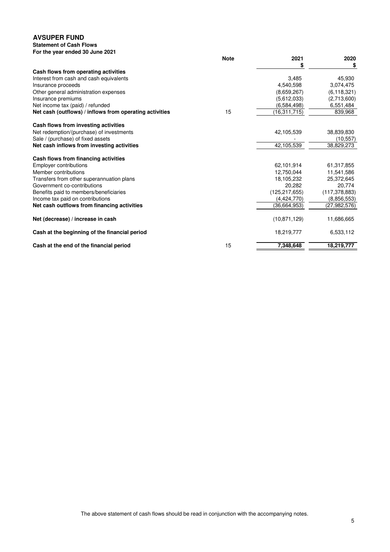### **Statement of Cash Flows**

| For the year ended 30 June 2021                                                             |             |                               |                      |
|---------------------------------------------------------------------------------------------|-------------|-------------------------------|----------------------|
|                                                                                             | <b>Note</b> | 2021                          | 2020                 |
|                                                                                             |             | \$                            | \$                   |
| Cash flows from operating activities                                                        |             | 3,485                         | 45,930               |
| Interest from cash and cash equivalents                                                     |             |                               |                      |
| Insurance proceeds                                                                          |             | 4,540,598                     | 3,074,475            |
| Other general administration expenses                                                       |             | (8,659,267)                   | (6, 118, 321)        |
| Insurance premiums                                                                          |             | (5,612,033)                   | (2,713,600)          |
| Net income tax (paid) / refunded<br>Net cash (outflows) / inflows from operating activities | 15          | (6,584,498)<br>(16, 311, 715) | 6,551,484<br>839,968 |
|                                                                                             |             |                               |                      |
| Cash flows from investing activities                                                        |             |                               |                      |
| Net redemption/(purchase) of investments                                                    |             | 42,105,539                    | 38,839,830           |
| Sale / (purchase) of fixed assets                                                           |             |                               | (10, 557)            |
| Net cash inflows from investing activities                                                  |             | 42,105,539                    | 38,829,273           |
| Cash flows from financing activities                                                        |             |                               |                      |
| <b>Employer contributions</b>                                                               |             | 62,101,914                    | 61,317,855           |
| Member contributions                                                                        |             | 12,750,044                    | 11,541,586           |
| Transfers from other superannuation plans                                                   |             | 18,105,232                    | 25,372,645           |
| Government co-contributions                                                                 |             | 20,282                        | 20,774               |
| Benefits paid to members/beneficiaries                                                      |             | (125, 217, 655)               | (117, 378, 883)      |
| Income tax paid on contributions                                                            |             | (4,424,770)                   | (8,856,553)          |
| Net cash outflows from financing activities                                                 |             | (36, 664, 953)                | (27, 982, 576)       |
| Net (decrease) / increase in cash                                                           |             | (10.871, 129)                 | 11,686,665           |
| Cash at the beginning of the financial period                                               |             | 18,219,777                    | 6,533,112            |
| Cash at the end of the financial period                                                     | 15          | 7,348,648                     | 18,219,777           |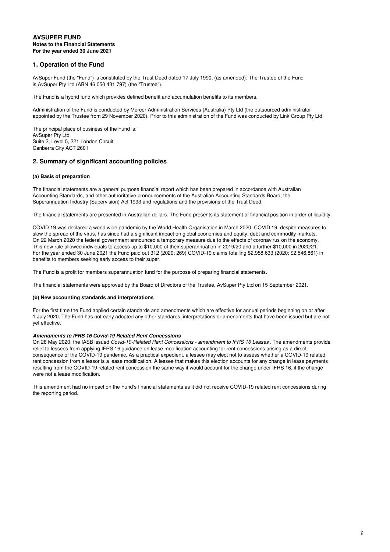#### **AVSUPER FUND Notes to the Financial Statements For the year ended 30 June 2021**

# **1. Operation of the Fund**

AvSuper Fund (the "Fund") is constituted by the Trust Deed dated 17 July 1990, (as amended). The Trustee of the Fund is AvSuper Pty Ltd (ABN 46 050 431 797) (the "Trustee").

The Fund is a hybrid fund which provides defined benefit and accumulation benefits to its members.

Administration of the Fund is conducted by Mercer Administration Services (Australia) Pty Ltd (the outsourced administrator appointed by the Trustee from 29 November 2020). Prior to this administration of the Fund was conducted by Link Group Pty Ltd.

The principal place of business of the Fund is: AvSuper Pty Ltd Suite 2, Level 5, 221 London Circuit Canberra City ACT 2601

# **2. Summary of significant accounting policies**

#### **(a) Basis of preparation**

The financial statements are a general purpose financial report which has been prepared in accordance with Australian Accounting Standards, and other authoritative pronouncements of the Australian Accounting Standards Board, the Superannuation Industry (Supervision) Act 1993 and regulations and the provisions of the Trust Deed.

The financial statements are presented in Australian dollars. The Fund presents its statement of financial position in order of liquidity.

COVID 19 was declared a world wide pandemic by the World Health Organisation in March 2020. COVID 19, despite measures to slow the spread of the virus, has since had a significant impact on global economies and equity, debt and commodity markets. On 22 March 2020 the federal government announced a temporary measure due to the effects of coronavirus on the economy. This new rule allowed individuals to access up to \$10,000 of their superannuation in 2019/20 and a further \$10,000 in 2020/21. For the year ended 30 June 2021 the Fund paid out 312 (2020: 269) COVID-19 claims totalling \$2,958,633 (2020: \$2,546,861) in benefits to members seeking early access to their super.

The Fund is a profit for members superannuation fund for the purpose of preparing financial statements.

The financial statements were approved by the Board of Directors of the Trustee, AvSuper Pty Ltd on 15 September 2021.

#### **(b) New accounting standards and interpretations**

For the first time the Fund applied certain standards and amendments which are effective for annual periods beginning on or after 1 July 2020. The Fund has not early adopted any other standards, interpretations or amendments that have been issued but are not yet effective.

#### **Amendments to IFRS 16 Covid-19 Related Rent Concessions**

On 28 May 2020, the IASB issued Covid-19-Related Rent Concessions - amendment to IFRS 16 Leases. The amendments provide relief to lessees from applying IFRS 16 guidance on lease modification accounting for rent concessions arising as a direct consequence of the COVID-19 pandemic. As a practical expedient, a lessee may elect not to assess whether a COVID-19 related rent concession from a lessor is a lease modification. A lessee that makes this election accounts for any change in lease payments resulting from the COVID-19 related rent concession the same way it would account for the change under IFRS 16, if the change were not a lease modification.

This amendment had no impact on the Fund's financial statements as it did not receive COVID-19 related rent concessions during the reporting period.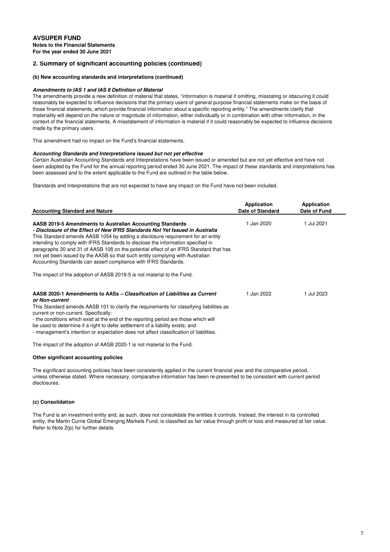#### **(b) New accounting standards and interpretations (continued)**

### **Amendments to IAS 1 and IAS 8 Definition of Material**

The amendments provide a new definition of material that states, "information is material if omitting, misstating or obscuring it could reasonably be expected to influence decisions that the primary users of general purpose financial statements make on the basis of those financial statements, which provide financial information about a specific reporting entity." The amendments clarify that materiality will depend on the nature or magnitude of information, either individually or in combination with other information, in the context of the financial statements. A misstatement of information is material if it could reasonably be expected to influence decisions made by the primary users.

This amendment had no impact on the Fund's financial statements.

#### **Accounting Standards and Interpretations issued but not yet effective**

Certain Australian Accounting Standards and Interpretations have been issued or amended but are not yet effective and have not been adopted by the Fund for the annual reporting period ended 30 June 2021. The impact of these standards and interpretations has been assessed and to the extent applicable to the Fund are outlined in the table below.

Standards and Interpretations that are not expected to have any impact on the Fund have not been included.

| <b>Accounting Standard and Nature</b>                                                                                                                                                                                                                                                                                                                                                                                                                                                                                                                         | Application<br>Date of Standard | Application<br>Date of Fund |  |
|---------------------------------------------------------------------------------------------------------------------------------------------------------------------------------------------------------------------------------------------------------------------------------------------------------------------------------------------------------------------------------------------------------------------------------------------------------------------------------------------------------------------------------------------------------------|---------------------------------|-----------------------------|--|
| AASB 2019-5 Amendments to Australian Accounting Standards<br>- Disclosure of the Effect of New IFRS Standards Not Yet Issued in Australia<br>This Standard amends AASB 1054 by adding a disclosure requirement for an entity<br>intending to comply with IFRS Standards to disclose the information specified in<br>paragraphs 30 and 31 of AASB 108 on the potential effect of an IFRS Standard that has<br>not yet been issued by the AASB so that such entity complying with Australian<br>Accounting Standards can assert compliance with IFRS Standards. | 1 Jan 2020                      | 1 Jul 2021                  |  |
| The impact of the adoption of AASB 2019-5 is not material to the Fund.                                                                                                                                                                                                                                                                                                                                                                                                                                                                                        |                                 |                             |  |
| AASB 2020-1 Amendments to AASs – Classification of Liabilities as Current<br>or Non-current<br>This Standard amends AASB 101 to clarify the requirements for classifying liabilities as<br>current or non-current. Specifically:<br>- the conditions which exist at the end of the reporting period are those which will<br>be used to determine if a right to defer settlement of a liability exists; and<br>- management's intention or expectation does not affect classification of liabilities.                                                          | 1 Jan 2022                      | 1 Jul 2023                  |  |
| The impact of the adoption of AASB 2020-1 is not material to the Fund.                                                                                                                                                                                                                                                                                                                                                                                                                                                                                        |                                 |                             |  |

#### **Other significant accounting policies**

The significant accounting policies have been consistently applied in the current financial year and the comparative period, unless otherwise stated. Where necessary, comparative information has been re-presented to be consistent with current period disclosures.

#### **(c) Consolidation**

The Fund is an investment entity and, as such, does not consolidate the entities it controls. Instead, the interest in its controlled entity, the Martin Currie Global Emerging Markets Fund, is classified as fair value through profit or loss and measured at fair value. Refer to Note 2(p) for further details.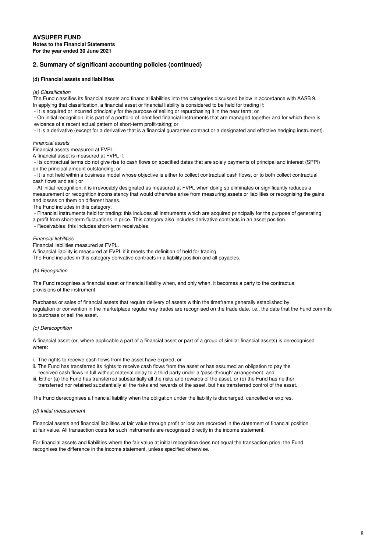#### **(d) Financial assets and liabilities**

#### (a) Classification

The Fund classifies its financial assets and financial liabilities into the categories discussed below in accordance with AASB 9. In applying that classification, a financial asset or financial liability is considered to be held for trading if:

- It is acquired or incurred principally for the purpose of selling or repurchasing it in the near term; or

 - On initial recognition, it is part of a portfolio of identified financial instruments that are managed together and for which there is evidence of a recent actual pattern of short-term profit-taking; or

- It is a derivative (except for a derivative that is a financial guarantee contract or a designated and effective hedging instrument).

#### Financial assets

Financial assets measured at FVPL.

A financial asset is measured at FVPL if:

 - Its contractual terms do not give rise to cash flows on specified dates that are solely payments of principal and interest (SPPI) on the principal amount outstanding; or

 - It is not held within a business model whose objective is either to collect contractual cash flows, or to both collect contractual cash flows and sell; or

 - At initial recognition, it is irrevocably designated as measured at FVPL when doing so eliminates or significantly reduces a measurement or recognition inconsistency that would otherwise arise from measuring assets or liabilities or recognising the gains and losses on them on different bases.

The Fund includes in this category:

- Financial instruments held for trading: this includes all instruments which are acquired principally for the purpose of generating

a profit from short-term fluctuations in price. This category also includes derivative contracts in an asset position.

- Receivables: this includes short-term receivables.

#### Financial liabilities

Financial liabilities measured at FVPL.

A financial liability is measured at FVPL if it meets the definition of held for trading.

The Fund includes in this category derivative contracts in a liability position and all payables.

### (b) Recognition

The Fund recognises a financial asset or financial liability when, and only when, it becomes a party to the contractual provisions of the instrument.

Purchases or sales of financial assets that require delivery of assets within the timeframe generally established by regulation or convention in the marketplace regular way trades are recognised on the trade date, i.e., the date that the Fund commits to purchase or sell the asset.

### (c) Derecognition

A financial asset (or, where applicable a part of a financial asset or part of a group of similar financial assets) is derecognised where:

i. The rights to receive cash flows from the asset have expired; or

- ii. The Fund has transferred its rights to receive cash flows from the asset or has assumed an obligation to pay the received cash flows in full without material delay to a third party under a 'pass-through' arrangement; and
- iii. Either (a) the Fund has transferred substantially all the risks and rewards of the asset, or (b) the Fund has neither transferred nor retained substantially all the risks and rewards of the asset, but has transferred control of the asset.

The Fund derecognises a financial liability when the obligation under the liability is discharged, cancelled or expires.

#### (d) Initial measurement

Financial assets and financial liabilities at fair value through profit or loss are recorded in the statement of financial position at fair value. All transaction costs for such instruments are recognised directly in the income statement.

For financial assets and liabilities where the fair value at initial recognition does not equal the transaction price, the Fund recognises the difference in the income statement, unless specified otherwise.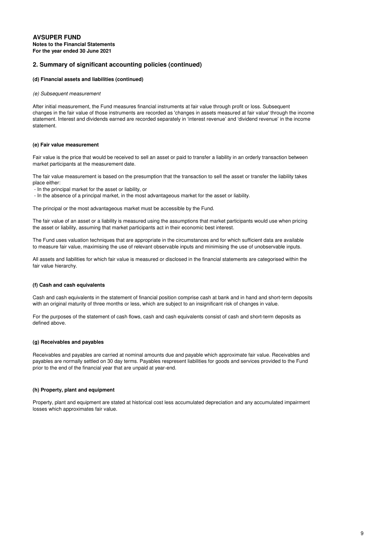### **(d) Financial assets and liabilities (continued)**

#### (e) Subsequent measurement

After initial measurement, the Fund measures financial instruments at fair value through profit or loss. Subsequent changes in the fair value of those instruments are recorded as 'changes in assets measured at fair value' through the income statement. Interest and dividends earned are recorded separately in 'interest revenue' and 'dividend revenue' in the income statement.

#### **(e) Fair value measurement**

Fair value is the price that would be received to sell an asset or paid to transfer a liability in an orderly transaction between market participants at the measurement date.

The fair value measurement is based on the presumption that the transaction to sell the asset or transfer the liability takes place either:

- In the principal market for the asset or liability, or
- In the absence of a principal market, in the most advantageous market for the asset or liability.

The principal or the most advantageous market must be accessible by the Fund.

The fair value of an asset or a liability is measured using the assumptions that market participants would use when pricing the asset or liability, assuming that market participants act in their economic best interest.

The Fund uses valuation techniques that are appropriate in the circumstances and for which sufficient data are available to measure fair value, maximising the use of relevant observable inputs and minimising the use of unobservable inputs.

All assets and liabilities for which fair value is measured or disclosed in the financial statements are categorised within the fair value hierarchy.

#### **(f) Cash and cash equivalents**

Cash and cash equivalents in the statement of financial position comprise cash at bank and in hand and short-term deposits with an original maturity of three months or less, which are subject to an insignificant risk of changes in value.

For the purposes of the statement of cash flows, cash and cash equivalents consist of cash and short-term deposits as defined above.

#### **(g) Receivables and payables**

Receivables and payables are carried at nominal amounts due and payable which approximate fair value. Receivables and payables are normally settled on 30 day terms. Payables respresent liabilities for goods and services provided to the Fund prior to the end of the financial year that are unpaid at year-end.

#### **(h) Property, plant and equipment**

Property, plant and equipment are stated at historical cost less accumulated depreciation and any accumulated impairment losses which approximates fair value.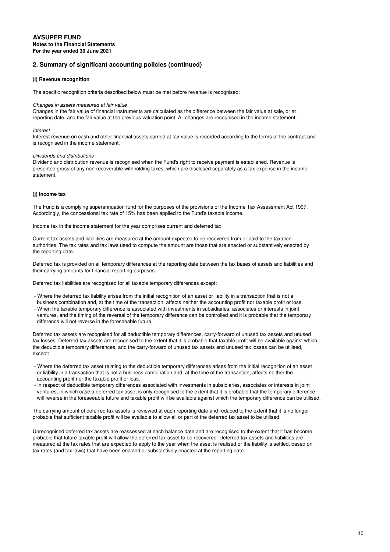#### **(i) Revenue recognition**

The specific recognition criteria described below must be met before revenue is recognised:

#### Changes in assets measured at fair value

Changes in the fair value of financial instruments are calculated as the difference between the fair value at sale, or at reporting date, and the fair value at the previous valuation point. All changes are recognised in the income statement.

#### **Interest**

Interest revenue on cash and other financial assets carried at fair value is recorded according to the terms of the contract and is recognised in the income statement.

#### Dividends and distributions

Dividend and distribution revenue is recognised when the Fund's right to receive payment is established. Revenue is presented gross of any non-recoverable withholding taxes, which are disclosed separately as a tax expense in the income statement.

#### **(j) Income tax**

The Fund is a complying superannuation fund for the purposes of the provisions of the Income Tax Assessment Act 1997. Accordingly, the concessional tax rate of 15% has been applied to the Fund's taxable income.

Income tax in the income statement for the year comprises current and deferred tax.

Current tax assets and liabilities are measured at the amount expected to be recovered from or paid to the taxation authorities. The tax rates and tax laws used to compute the amount are those that are enacted or substantively enacted by the reporting date.

Deferred tax is provided on all temporary differences at the reporting date between the tax bases of assets and liabilities and their carrying amounts for financial reporting purposes.

Deferred tax liabilities are recognised for all taxable temporary differences except:

- Where the deferred tax liability arises from the initial recognition of an asset or liability in a transaction that is not a business combination and, at the time of the transaction, affects neither the accounting profit nor taxable profit or loss.
- When the taxable temporary difference is associated with investments in subsidiaries, associates or interests in joint ventures, and the timing of the reversal of the temporary difference can be controlled and it is probable that the temporary difference will not reverse in the foreseeable future.

Deferred tax assets are recognised for all deductible temporary differences, carry-forward of unused tax assets and unused tax losses. Deferred tax assets are recognised to the extent that it is probable that taxable profit will be available against which the deductible temporary differences, and the carry-forward of unused tax assets and unused tax losses can be utilised, except:

- Where the deferred tax asset relating to the deductible temporary differences arises from the initial recognition of an asset or liability in a transaction that is not a business combination and, at the time of the transaction, affects neither the accounting profit nor the taxable profit or loss.
- In respect of deductible temporary differences associated with investments in subsidiaries, associates or interests in joint ventures, in which case a deferred tax asset is only recognised to the extent that it is probable that the temporary difference will reverse in the foreseeable future and taxable profit will be available against which the temporary difference can be utilised.

The carrying amount of deferred tax assets is reviewed at each reporting date and reduced to the extent that it is no longer probable that sufficient taxable profit will be available to allow all or part of the deferred tax asset to be utilised.

Unrecognised deferred tax assets are reassessed at each balance date and are recognised to the extent that it has become probable that future taxable profit will allow the deferred tax asset to be recovered. Deferred tax assets and liabilities are measured at the tax rates that are expected to apply to the year when the asset is realised or the liability is settled, based on tax rates (and tax laws) that have been enacted or substantively enacted at the reporting date.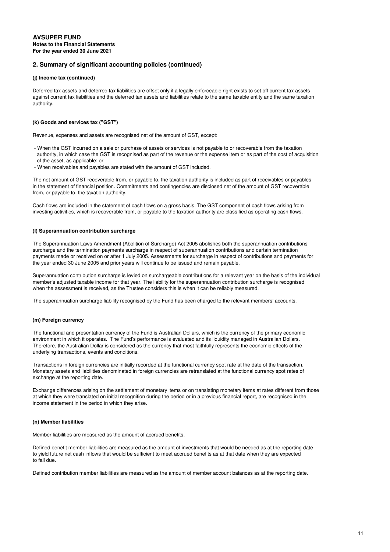#### **(j) Income tax (continued)**

Deferred tax assets and deferred tax liabilities are offset only if a legally enforceable right exists to set off current tax assets against current tax liabilities and the deferred tax assets and liabilities relate to the same taxable entity and the same taxation authority.

#### **(k) Goods and services tax ("GST")**

Revenue, expenses and assets are recognised net of the amount of GST, except:

- When the GST incurred on a sale or purchase of assets or services is not payable to or recoverable from the taxation authority, in which case the GST is recognised as part of the revenue or the expense item or as part of the cost of acquisition of the asset, as applicable; or
- When receivables and payables are stated with the amount of GST included.

The net amount of GST recoverable from, or payable to, the taxation authority is included as part of receivables or payables in the statement of financial position. Commitments and contingencies are disclosed net of the amount of GST recoverable from, or payable to, the taxation authority.

Cash flows are included in the statement of cash flows on a gross basis. The GST component of cash flows arising from investing activities, which is recoverable from, or payable to the taxation authority are classified as operating cash flows.

#### **(l) Superannuation contribution surcharge**

The Superannuation Laws Amendment (Abolition of Surcharge) Act 2005 abolishes both the superannuation contributions surcharge and the termination payments surcharge in respect of superannuation contributions and certain termination payments made or received on or after 1 July 2005. Assessments for surcharge in respect of contributions and payments for the year ended 30 June 2005 and prior years will continue to be issued and remain payable.

Superannuation contribution surcharge is levied on surchargeable contributions for a relevant year on the basis of the individual member's adjusted taxable income for that year. The liability for the superannuation contribution surcharge is recognised when the assessment is received, as the Trustee considers this is when it can be reliably measured.

The superannuation surcharge liability recognised by the Fund has been charged to the relevant members' accounts.

### **(m) Foreign currency**

The functional and presentation currency of the Fund is Australian Dollars, which is the currency of the primary economic environment in which it operates. The Fund's performance is evaluated and its liquidity managed in Australian Dollars. Therefore, the Australian Dollar is considered as the currency that most faithfully represents the economic effects of the underlying transactions, events and conditions.

Transactions in foreign currencies are initially recorded at the functional currency spot rate at the date of the transaction. Monetary assets and liabilities denominated in foreign currencies are retranslated at the functional currency spot rates of exchange at the reporting date.

Exchange differences arising on the settlement of monetary items or on translating monetary items at rates different from those at which they were translated on initial recognition during the period or in a previous financial report, are recognised in the income statement in the period in which they arise.

#### **(n) Member liabilities**

Member liabilities are measured as the amount of accrued benefits.

Defined benefit member liabilities are measured as the amount of investments that would be needed as at the reporting date to yield future net cash inflows that would be sufficient to meet accrued benefits as at that date when they are expected to fall due.

Defined contribution member liabilities are measured as the amount of member account balances as at the reporting date.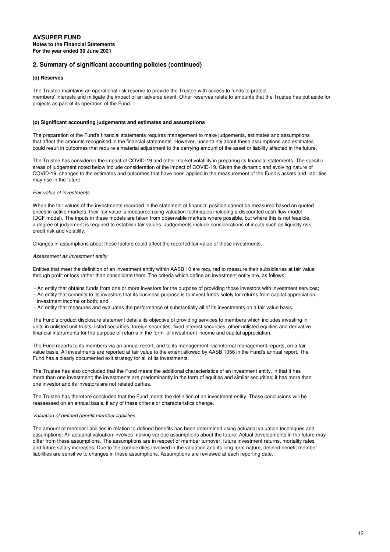#### **(o) Reserves**

The Trustee maintains an operational risk reserve to provide the Trustee with access to funds to protect members' interests and mitigate the impact of an adverse event. Other reserves relate to amounts that the Trustee has put aside for projects as part of its operation of the Fund.

#### **(p) Significant accounting judgements and estimates and assumptions**

The preparation of the Fund's financial statements requires management to make judgements, estimates and assumptions that affect the amounts recognised in the financial statements. However, uncertainty about these assumptions and estimates could result in outcomes that require a material adjustment to the carrying amount of the asset or liability affected in the future.

The Trustee has considered the impact of COVID-19 and other market volatility in preparing its financial statements. The specific areas of judgement noted below include consideration of the impact of COVID-19. Given the dynamic and evolving nature of COVID-19, changes to the estimates and outcomes that have been applied in the measurement of the Fund's assets and liabilities may rise in the future.

#### Fair value of investments

When the fair values of the investments recorded in the statement of financial position cannot be measured based on quoted prices in active markets, their fair value is measured using valuation techniques including a discounted cash flow model (DCF model). The inputs in these models are taken from observable markets where possible, but where this is not feasible, a degree of judgement is required to establish fair values. Judgements include considerations of inputs such as liquidity risk, credit risk and volatility.

Changes in assumptions about these factors could affect the reported fair value of these investments.

#### Assessment as investment entity

Entities that meet the definition of an investment entity within AASB 10 are required to measure their subsidiaries at fair value through profit or loss rather than consolidate them. The criteria which define an investment entity are, as follows:

- An entity that obtains funds from one or more investors for the purpose of providing those investors with investment services;

 - An entity that commits to its investors that its business purpose is to invest funds solely for returns from capital appreciation, investment income or both; and

- An entity that measures and evaluates the performance of substantially all of its investments on a fair value basis.

The Fund's product disclosure statement details its objective of providing services to members which includes investing in units in unlisted unit trusts, listed securities, foreign securities, fixed interest securities, other unlisted equities and derivative financial instruments for the purpose of returns in the form of investment income and capital appreciation.

The Fund reports to its members via an annual report, and to its management, via internal management reports, on a fair value basis. All investments are reported at fair value to the extent allowed by AASB 1056 in the Fund's annual report. The Fund has a clearly documented exit strategy for all of its investments.

The Trustee has also concluded that the Fund meets the additional characteristics of an investment entity, in that it has more than one investment; the investments are predominantly in the form of equities and similar securities; it has more than one investor and its investors are not related parties.

The Trustee has therefore concluded that the Fund meets the definition of an investment entity. These conclusions will be reassessed on an annual basis, if any of these criteria or characteristics change.

#### Valuation of defined benefit member liabilities

The amount of member liabilities in relation to defined benefits has been determined using actuarial valuation techniques and assumptions. An actuarial valuation involves making various assumptions about the future. Actual developments in the future may differ from these assumptions. The assumptions are in respect of member turnover, future investment returns, mortality rates and future salary increases. Due to the complexities involved in the valuation and its long term nature, defined benefit member liabilities are sensitive to changes in these assumptions. Assumptions are reviewed at each reporting date.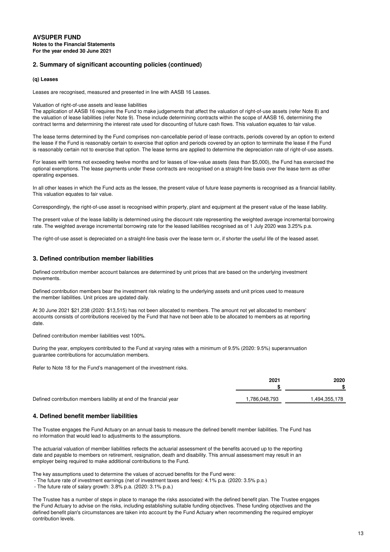#### **(q) Leases**

Leases are recognised, measured and presented in line with AASB 16 Leases.

#### Valuation of right-of-use assets and lease liabilities

The application of AASB 16 requires the Fund to make judgements that affect the valuation of right-of-use assets (refer Note 8) and the valuation of lease liabilities (refer Note 9). These include determining contracts within the scope of AASB 16, determining the contract terms and determining the interest rate used for discounting of future cash flows. This valuation equates to fair value.

The lease terms determined by the Fund comprises non-cancellable period of lease contracts, periods covered by an option to extend the lease if the Fund is reasonably certain to exercise that option and periods covered by an option to terminate the lease if the Fund is reasonably certain not to exercise that option. The lease terms are applied to determine the depreciation rate of right-of-use assets.

For leases with terms not exceeding twelve months and for leases of low-value assets (less than \$5,000), the Fund has exercised the optional exemptions. The lease payments under these contracts are recognised on a straight-line basis over the lease term as other operating expenses.

In all other leases in which the Fund acts as the lessee, the present value of future lease payments is recognised as a financial liability. This valuation equates to fair value.

Correspondingly, the right-of-use asset is recognised within property, plant and equipment at the present value of the lease liability.

The present value of the lease liability is determined using the discount rate representing the weighted average incremental borrowing rate. The weighted average incremental borrowing rate for the leased liabilities recognised as of 1 July 2020 was 3.25% p.a.

The right-of-use asset is depreciated on a straight-line basis over the lease term or, if shorter the useful life of the leased asset.

### **3. Defined contribution member liabilities**

Defined contribution member account balances are determined by unit prices that are based on the underlying investment movements.

Defined contribution members bear the investment risk relating to the underlying assets and unit prices used to measure the member liabilities. Unit prices are updated daily.

At 30 June 2021 \$21,238 (2020: \$13,515) has not been allocated to members. The amount not yet allocated to members' accounts consists of contributions received by the Fund that have not been able to be allocated to members as at reporting date.

Defined contribution member liabilities vest 100%.

During the year, employers contributed to the Fund at varying rates with a minimum of 9.5% (2020: 9.5%) superannuation guarantee contributions for accumulation members.

Refer to Note 18 for the Fund's management of the investment risks.

|                                                                     | 2021         | 2020         |
|---------------------------------------------------------------------|--------------|--------------|
|                                                                     |              |              |
| Defined contribution members liability at end of the financial year | .786,048,793 | .494,355,178 |

# **4. Defined benefit member liabilities**

The Trustee engages the Fund Actuary on an annual basis to measure the defined benefit member liabilities. The Fund has no information that would lead to adjustments to the assumptions.

The actuarial valuation of member liabilities reflects the actuarial assessment of the benefits accrued up to the reporting date and payable to members on retirement, resignation, death and disability. This annual assessment may result in an employer being required to make additional contributions to the Fund.

The key assumptions used to determine the values of accrued benefits for the Fund were:

- The future rate of investment earnings (net of investment taxes and fees): 4.1% p.a. (2020: 3.5% p.a.)

- The future rate of salary growth: 3.8% p.a. (2020: 3.1% p.a.)

The Trustee has a number of steps in place to manage the risks associated with the defined benefit plan. The Trustee engages the Fund Actuary to advise on the risks, including establishing suitable funding objectives. These funding objectives and the defined benefit plan's circumstances are taken into account by the Fund Actuary when recommending the required employer contribution levels.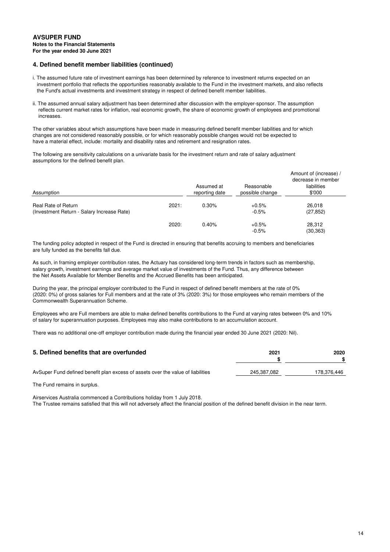# **4. Defined benefit member liabilities (continued)**

- i. The assumed future rate of investment earnings has been determined by reference to investment returns expected on an investment portfolio that reflects the opportunities reasonably available to the Fund in the investment markets, and also reflects the Fund's actual investments and investment strategy in respect of defined benefit member liabilities.
- ii. The assumed annual salary adjustment has been determined after discussion with the employer-sponsor. The assumption reflects current market rates for inflation, real economic growth, the share of economic growth of employees and promotional increases.

The other variables about which assumptions have been made in measuring defined benefit member liabilities and for which changes are not considered reasonably possible, or for which reasonably possible changes would not be expected to have a material effect, include: mortality and disability rates and retirement and resignation rates.

The following are sensitivity calculations on a univariate basis for the investment return and rate of salary adjustment assumptions for the defined benefit plan.

| Assumption                                                        |       | Assumed at<br>reporting date | Reasonable<br>possible change | Amount of (increase) /<br>decrease in member<br>liabilities<br>\$'000 |
|-------------------------------------------------------------------|-------|------------------------------|-------------------------------|-----------------------------------------------------------------------|
| Real Rate of Return<br>(Investment Return - Salary Increase Rate) | 2021: | 0.30%                        | $+0.5%$<br>$-0.5%$            | 26.018<br>(27, 852)                                                   |
|                                                                   | 2020: | 0.40%                        | $+0.5%$<br>$-0.5%$            | 28,312<br>(30, 363)                                                   |

The funding policy adopted in respect of the Fund is directed in ensuring that benefits accruing to members and beneficiaries are fully funded as the benefits fall due.

As such, in framing employer contribution rates, the Actuary has considered long-term trends in factors such as membership, salary growth, investment earnings and average market value of investments of the Fund. Thus, any difference between the Net Assets Available for Member Benefits and the Accrued Benefits has been anticipated.

During the year, the principal employer contributed to the Fund in respect of defined benefit members at the rate of 0% (2020: 0%) of gross salaries for Full members and at the rate of 3% (2020: 3%) for those employees who remain members of the Commonwealth Superannuation Scheme.

Employees who are Full members are able to make defined benefits contributions to the Fund at varying rates between 0% and 10% of salary for superannuation purposes. Employees may also make contributions to an accumulation account.

There was no additional one-off employer contribution made during the financial year ended 30 June 2021 (2020: Nil).

| 5. Defined benefits that are overfunded                                          | 2021        | 2020        |
|----------------------------------------------------------------------------------|-------------|-------------|
| AvSuper Fund defined benefit plan excess of assets over the value of liabilities | 245.387.082 | 178,376,446 |

The Fund remains in surplus.

Airservices Australia commenced a Contributions holiday from 1 July 2018. The Trustee remains satisfied that this will not adversely affect the financial position of the defined benefit division in the near term.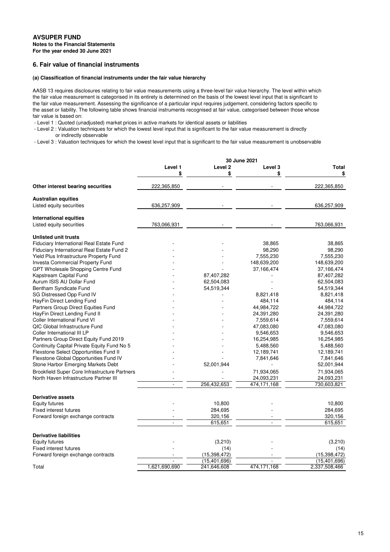# **6. Fair value of financial instruments**

# **(a) Classification of financial instruments under the fair value hierarchy**

AASB 13 requires disclosures relating to fair value measurements using a three-level fair value hierarchy. The level within which the fair value measurement is categorised in its entirety is determined on the basis of the lowest level input that is significant to the fair value measurement. Assessing the significance of a particular input requires judgement, considering factors specific to the asset or liability. The following table shows financial instruments recognised at fair value, categorised between those whose fair value is based on:

- Level 1 : Quoted (unadjusted) market prices in active markets for identical assets or liabilities

 - Level 2 : Valuation techniques for which the lowest level input that is significant to the fair value measurement is directly or indirectly observable

- Level 3 : Valuation techniques for which the lowest level input that is significant to the fair value measurement is unobservable

| Level <sub>2</sub><br>Level 1<br>Level 3<br>Total<br>\$<br>\$<br>\$<br>\$<br>Other interest bearing securities<br>222,365,850<br>222,365,850<br><b>Australian equities</b><br>Listed equity securities<br>636,257,909<br>636,257,909<br><b>International equities</b><br>Listed equity securities<br>763,066,931<br>763,066,931<br><b>Unlisted unit trusts</b><br><b>Fiduciary International Real Estate Fund</b><br>38,865<br>38,865<br>Fiduciary International Real Estate Fund 2<br>98,290<br>98,290<br>Yield Plus Infrastructure Property Fund<br>7,555,230<br>7,555,230<br><b>Investa Commercial Property Fund</b><br>148,639,200<br>148,639,200<br>GPT Wholesale Shopping Centre Fund<br>37,166,474<br>37,166,474<br>Kapstream Capital Fund<br>87,407,282<br>87,407,282<br>Aurum ISIS AU Dollar Fund<br>62,504,083<br>62,504,083<br>Bentham Syndicate Fund<br>54,519,344<br>54,519,344<br>SG Distressed Opp Fund IV<br>8,821,418<br>8,821,418<br>HayFin Direct Lending Fund<br>484,114<br>484,114<br>Partners Group Direct Equities Fund<br>44,984,722<br>44,984,722<br>HayFin Direct Lending Fund II<br>24,391,280<br>24,391,280<br>Coller International Fund VI<br>7,559,614<br>7,559,614<br>QIC Global Infrastructure Fund<br>47,083,080<br>47,083,080<br>Coller International III LP<br>9,546,653<br>9,546,653<br>Partners Group Direct Equity Fund 2019<br>16,254,985<br>16,254,985<br>Continuity Capital Private Equity Fund No 5<br>5,488,560<br>5,488,560<br>Flexstone Select Opportunities Fund II<br>12,189,741<br>12,189,741<br>Flexstone Global Opportunities Fund IV<br>7,841,646<br>7,841,646<br>Stone Harbor Emerging Markets Debt<br>52,001,944<br>52,001,944<br><b>Brookfield Super Core Infrastructure Partners</b><br>71,934,065<br>71,934,065<br>North Haven Infrastructure Partner III<br>24,093,231<br>24,093,231<br>256,432,653<br>474,171,168<br>730,603,821<br>$\overline{a}$<br><b>Derivative assets</b><br>10,800<br><b>Equity futures</b><br>10,800<br><b>Fixed interest futures</b><br>284,695<br>284,695<br>320,156<br>Forward foreign exchange contracts<br>320,156<br>615,651<br>$\overline{a}$<br>615,651<br>÷.<br><b>Derivative liabilities</b><br>(3,210)<br>(3,210)<br><b>Equity futures</b><br><b>Fixed interest futures</b><br>(14)<br>(14)<br>(15, 398, 472)<br>Forward foreign exchange contracts<br>(15,398,472)<br>(15,401,696)<br>(15, 401, 696)<br>1,621,690,690<br>241,646,608<br>474,171,168<br>2,337,508,466<br>Total |  | 30 June 2021 |  |
|----------------------------------------------------------------------------------------------------------------------------------------------------------------------------------------------------------------------------------------------------------------------------------------------------------------------------------------------------------------------------------------------------------------------------------------------------------------------------------------------------------------------------------------------------------------------------------------------------------------------------------------------------------------------------------------------------------------------------------------------------------------------------------------------------------------------------------------------------------------------------------------------------------------------------------------------------------------------------------------------------------------------------------------------------------------------------------------------------------------------------------------------------------------------------------------------------------------------------------------------------------------------------------------------------------------------------------------------------------------------------------------------------------------------------------------------------------------------------------------------------------------------------------------------------------------------------------------------------------------------------------------------------------------------------------------------------------------------------------------------------------------------------------------------------------------------------------------------------------------------------------------------------------------------------------------------------------------------------------------------------------------------------------------------------------------------------------------------------------------------------------------------------------------------------------------------------------------------------------------------------------------------------------------------------------------------------------------------------------------------------------------------------------------------------------------------------------------------------|--|--------------|--|
|                                                                                                                                                                                                                                                                                                                                                                                                                                                                                                                                                                                                                                                                                                                                                                                                                                                                                                                                                                                                                                                                                                                                                                                                                                                                                                                                                                                                                                                                                                                                                                                                                                                                                                                                                                                                                                                                                                                                                                                                                                                                                                                                                                                                                                                                                                                                                                                                                                                                            |  |              |  |
|                                                                                                                                                                                                                                                                                                                                                                                                                                                                                                                                                                                                                                                                                                                                                                                                                                                                                                                                                                                                                                                                                                                                                                                                                                                                                                                                                                                                                                                                                                                                                                                                                                                                                                                                                                                                                                                                                                                                                                                                                                                                                                                                                                                                                                                                                                                                                                                                                                                                            |  |              |  |
|                                                                                                                                                                                                                                                                                                                                                                                                                                                                                                                                                                                                                                                                                                                                                                                                                                                                                                                                                                                                                                                                                                                                                                                                                                                                                                                                                                                                                                                                                                                                                                                                                                                                                                                                                                                                                                                                                                                                                                                                                                                                                                                                                                                                                                                                                                                                                                                                                                                                            |  |              |  |
|                                                                                                                                                                                                                                                                                                                                                                                                                                                                                                                                                                                                                                                                                                                                                                                                                                                                                                                                                                                                                                                                                                                                                                                                                                                                                                                                                                                                                                                                                                                                                                                                                                                                                                                                                                                                                                                                                                                                                                                                                                                                                                                                                                                                                                                                                                                                                                                                                                                                            |  |              |  |
|                                                                                                                                                                                                                                                                                                                                                                                                                                                                                                                                                                                                                                                                                                                                                                                                                                                                                                                                                                                                                                                                                                                                                                                                                                                                                                                                                                                                                                                                                                                                                                                                                                                                                                                                                                                                                                                                                                                                                                                                                                                                                                                                                                                                                                                                                                                                                                                                                                                                            |  |              |  |
|                                                                                                                                                                                                                                                                                                                                                                                                                                                                                                                                                                                                                                                                                                                                                                                                                                                                                                                                                                                                                                                                                                                                                                                                                                                                                                                                                                                                                                                                                                                                                                                                                                                                                                                                                                                                                                                                                                                                                                                                                                                                                                                                                                                                                                                                                                                                                                                                                                                                            |  |              |  |
|                                                                                                                                                                                                                                                                                                                                                                                                                                                                                                                                                                                                                                                                                                                                                                                                                                                                                                                                                                                                                                                                                                                                                                                                                                                                                                                                                                                                                                                                                                                                                                                                                                                                                                                                                                                                                                                                                                                                                                                                                                                                                                                                                                                                                                                                                                                                                                                                                                                                            |  |              |  |
|                                                                                                                                                                                                                                                                                                                                                                                                                                                                                                                                                                                                                                                                                                                                                                                                                                                                                                                                                                                                                                                                                                                                                                                                                                                                                                                                                                                                                                                                                                                                                                                                                                                                                                                                                                                                                                                                                                                                                                                                                                                                                                                                                                                                                                                                                                                                                                                                                                                                            |  |              |  |
|                                                                                                                                                                                                                                                                                                                                                                                                                                                                                                                                                                                                                                                                                                                                                                                                                                                                                                                                                                                                                                                                                                                                                                                                                                                                                                                                                                                                                                                                                                                                                                                                                                                                                                                                                                                                                                                                                                                                                                                                                                                                                                                                                                                                                                                                                                                                                                                                                                                                            |  |              |  |
|                                                                                                                                                                                                                                                                                                                                                                                                                                                                                                                                                                                                                                                                                                                                                                                                                                                                                                                                                                                                                                                                                                                                                                                                                                                                                                                                                                                                                                                                                                                                                                                                                                                                                                                                                                                                                                                                                                                                                                                                                                                                                                                                                                                                                                                                                                                                                                                                                                                                            |  |              |  |
|                                                                                                                                                                                                                                                                                                                                                                                                                                                                                                                                                                                                                                                                                                                                                                                                                                                                                                                                                                                                                                                                                                                                                                                                                                                                                                                                                                                                                                                                                                                                                                                                                                                                                                                                                                                                                                                                                                                                                                                                                                                                                                                                                                                                                                                                                                                                                                                                                                                                            |  |              |  |
|                                                                                                                                                                                                                                                                                                                                                                                                                                                                                                                                                                                                                                                                                                                                                                                                                                                                                                                                                                                                                                                                                                                                                                                                                                                                                                                                                                                                                                                                                                                                                                                                                                                                                                                                                                                                                                                                                                                                                                                                                                                                                                                                                                                                                                                                                                                                                                                                                                                                            |  |              |  |
|                                                                                                                                                                                                                                                                                                                                                                                                                                                                                                                                                                                                                                                                                                                                                                                                                                                                                                                                                                                                                                                                                                                                                                                                                                                                                                                                                                                                                                                                                                                                                                                                                                                                                                                                                                                                                                                                                                                                                                                                                                                                                                                                                                                                                                                                                                                                                                                                                                                                            |  |              |  |
|                                                                                                                                                                                                                                                                                                                                                                                                                                                                                                                                                                                                                                                                                                                                                                                                                                                                                                                                                                                                                                                                                                                                                                                                                                                                                                                                                                                                                                                                                                                                                                                                                                                                                                                                                                                                                                                                                                                                                                                                                                                                                                                                                                                                                                                                                                                                                                                                                                                                            |  |              |  |
|                                                                                                                                                                                                                                                                                                                                                                                                                                                                                                                                                                                                                                                                                                                                                                                                                                                                                                                                                                                                                                                                                                                                                                                                                                                                                                                                                                                                                                                                                                                                                                                                                                                                                                                                                                                                                                                                                                                                                                                                                                                                                                                                                                                                                                                                                                                                                                                                                                                                            |  |              |  |
|                                                                                                                                                                                                                                                                                                                                                                                                                                                                                                                                                                                                                                                                                                                                                                                                                                                                                                                                                                                                                                                                                                                                                                                                                                                                                                                                                                                                                                                                                                                                                                                                                                                                                                                                                                                                                                                                                                                                                                                                                                                                                                                                                                                                                                                                                                                                                                                                                                                                            |  |              |  |
|                                                                                                                                                                                                                                                                                                                                                                                                                                                                                                                                                                                                                                                                                                                                                                                                                                                                                                                                                                                                                                                                                                                                                                                                                                                                                                                                                                                                                                                                                                                                                                                                                                                                                                                                                                                                                                                                                                                                                                                                                                                                                                                                                                                                                                                                                                                                                                                                                                                                            |  |              |  |
|                                                                                                                                                                                                                                                                                                                                                                                                                                                                                                                                                                                                                                                                                                                                                                                                                                                                                                                                                                                                                                                                                                                                                                                                                                                                                                                                                                                                                                                                                                                                                                                                                                                                                                                                                                                                                                                                                                                                                                                                                                                                                                                                                                                                                                                                                                                                                                                                                                                                            |  |              |  |
|                                                                                                                                                                                                                                                                                                                                                                                                                                                                                                                                                                                                                                                                                                                                                                                                                                                                                                                                                                                                                                                                                                                                                                                                                                                                                                                                                                                                                                                                                                                                                                                                                                                                                                                                                                                                                                                                                                                                                                                                                                                                                                                                                                                                                                                                                                                                                                                                                                                                            |  |              |  |
|                                                                                                                                                                                                                                                                                                                                                                                                                                                                                                                                                                                                                                                                                                                                                                                                                                                                                                                                                                                                                                                                                                                                                                                                                                                                                                                                                                                                                                                                                                                                                                                                                                                                                                                                                                                                                                                                                                                                                                                                                                                                                                                                                                                                                                                                                                                                                                                                                                                                            |  |              |  |
|                                                                                                                                                                                                                                                                                                                                                                                                                                                                                                                                                                                                                                                                                                                                                                                                                                                                                                                                                                                                                                                                                                                                                                                                                                                                                                                                                                                                                                                                                                                                                                                                                                                                                                                                                                                                                                                                                                                                                                                                                                                                                                                                                                                                                                                                                                                                                                                                                                                                            |  |              |  |
|                                                                                                                                                                                                                                                                                                                                                                                                                                                                                                                                                                                                                                                                                                                                                                                                                                                                                                                                                                                                                                                                                                                                                                                                                                                                                                                                                                                                                                                                                                                                                                                                                                                                                                                                                                                                                                                                                                                                                                                                                                                                                                                                                                                                                                                                                                                                                                                                                                                                            |  |              |  |
|                                                                                                                                                                                                                                                                                                                                                                                                                                                                                                                                                                                                                                                                                                                                                                                                                                                                                                                                                                                                                                                                                                                                                                                                                                                                                                                                                                                                                                                                                                                                                                                                                                                                                                                                                                                                                                                                                                                                                                                                                                                                                                                                                                                                                                                                                                                                                                                                                                                                            |  |              |  |
|                                                                                                                                                                                                                                                                                                                                                                                                                                                                                                                                                                                                                                                                                                                                                                                                                                                                                                                                                                                                                                                                                                                                                                                                                                                                                                                                                                                                                                                                                                                                                                                                                                                                                                                                                                                                                                                                                                                                                                                                                                                                                                                                                                                                                                                                                                                                                                                                                                                                            |  |              |  |
|                                                                                                                                                                                                                                                                                                                                                                                                                                                                                                                                                                                                                                                                                                                                                                                                                                                                                                                                                                                                                                                                                                                                                                                                                                                                                                                                                                                                                                                                                                                                                                                                                                                                                                                                                                                                                                                                                                                                                                                                                                                                                                                                                                                                                                                                                                                                                                                                                                                                            |  |              |  |
|                                                                                                                                                                                                                                                                                                                                                                                                                                                                                                                                                                                                                                                                                                                                                                                                                                                                                                                                                                                                                                                                                                                                                                                                                                                                                                                                                                                                                                                                                                                                                                                                                                                                                                                                                                                                                                                                                                                                                                                                                                                                                                                                                                                                                                                                                                                                                                                                                                                                            |  |              |  |
|                                                                                                                                                                                                                                                                                                                                                                                                                                                                                                                                                                                                                                                                                                                                                                                                                                                                                                                                                                                                                                                                                                                                                                                                                                                                                                                                                                                                                                                                                                                                                                                                                                                                                                                                                                                                                                                                                                                                                                                                                                                                                                                                                                                                                                                                                                                                                                                                                                                                            |  |              |  |
|                                                                                                                                                                                                                                                                                                                                                                                                                                                                                                                                                                                                                                                                                                                                                                                                                                                                                                                                                                                                                                                                                                                                                                                                                                                                                                                                                                                                                                                                                                                                                                                                                                                                                                                                                                                                                                                                                                                                                                                                                                                                                                                                                                                                                                                                                                                                                                                                                                                                            |  |              |  |
|                                                                                                                                                                                                                                                                                                                                                                                                                                                                                                                                                                                                                                                                                                                                                                                                                                                                                                                                                                                                                                                                                                                                                                                                                                                                                                                                                                                                                                                                                                                                                                                                                                                                                                                                                                                                                                                                                                                                                                                                                                                                                                                                                                                                                                                                                                                                                                                                                                                                            |  |              |  |
|                                                                                                                                                                                                                                                                                                                                                                                                                                                                                                                                                                                                                                                                                                                                                                                                                                                                                                                                                                                                                                                                                                                                                                                                                                                                                                                                                                                                                                                                                                                                                                                                                                                                                                                                                                                                                                                                                                                                                                                                                                                                                                                                                                                                                                                                                                                                                                                                                                                                            |  |              |  |
|                                                                                                                                                                                                                                                                                                                                                                                                                                                                                                                                                                                                                                                                                                                                                                                                                                                                                                                                                                                                                                                                                                                                                                                                                                                                                                                                                                                                                                                                                                                                                                                                                                                                                                                                                                                                                                                                                                                                                                                                                                                                                                                                                                                                                                                                                                                                                                                                                                                                            |  |              |  |
|                                                                                                                                                                                                                                                                                                                                                                                                                                                                                                                                                                                                                                                                                                                                                                                                                                                                                                                                                                                                                                                                                                                                                                                                                                                                                                                                                                                                                                                                                                                                                                                                                                                                                                                                                                                                                                                                                                                                                                                                                                                                                                                                                                                                                                                                                                                                                                                                                                                                            |  |              |  |
|                                                                                                                                                                                                                                                                                                                                                                                                                                                                                                                                                                                                                                                                                                                                                                                                                                                                                                                                                                                                                                                                                                                                                                                                                                                                                                                                                                                                                                                                                                                                                                                                                                                                                                                                                                                                                                                                                                                                                                                                                                                                                                                                                                                                                                                                                                                                                                                                                                                                            |  |              |  |
|                                                                                                                                                                                                                                                                                                                                                                                                                                                                                                                                                                                                                                                                                                                                                                                                                                                                                                                                                                                                                                                                                                                                                                                                                                                                                                                                                                                                                                                                                                                                                                                                                                                                                                                                                                                                                                                                                                                                                                                                                                                                                                                                                                                                                                                                                                                                                                                                                                                                            |  |              |  |
|                                                                                                                                                                                                                                                                                                                                                                                                                                                                                                                                                                                                                                                                                                                                                                                                                                                                                                                                                                                                                                                                                                                                                                                                                                                                                                                                                                                                                                                                                                                                                                                                                                                                                                                                                                                                                                                                                                                                                                                                                                                                                                                                                                                                                                                                                                                                                                                                                                                                            |  |              |  |
|                                                                                                                                                                                                                                                                                                                                                                                                                                                                                                                                                                                                                                                                                                                                                                                                                                                                                                                                                                                                                                                                                                                                                                                                                                                                                                                                                                                                                                                                                                                                                                                                                                                                                                                                                                                                                                                                                                                                                                                                                                                                                                                                                                                                                                                                                                                                                                                                                                                                            |  |              |  |
|                                                                                                                                                                                                                                                                                                                                                                                                                                                                                                                                                                                                                                                                                                                                                                                                                                                                                                                                                                                                                                                                                                                                                                                                                                                                                                                                                                                                                                                                                                                                                                                                                                                                                                                                                                                                                                                                                                                                                                                                                                                                                                                                                                                                                                                                                                                                                                                                                                                                            |  |              |  |
|                                                                                                                                                                                                                                                                                                                                                                                                                                                                                                                                                                                                                                                                                                                                                                                                                                                                                                                                                                                                                                                                                                                                                                                                                                                                                                                                                                                                                                                                                                                                                                                                                                                                                                                                                                                                                                                                                                                                                                                                                                                                                                                                                                                                                                                                                                                                                                                                                                                                            |  |              |  |
|                                                                                                                                                                                                                                                                                                                                                                                                                                                                                                                                                                                                                                                                                                                                                                                                                                                                                                                                                                                                                                                                                                                                                                                                                                                                                                                                                                                                                                                                                                                                                                                                                                                                                                                                                                                                                                                                                                                                                                                                                                                                                                                                                                                                                                                                                                                                                                                                                                                                            |  |              |  |
|                                                                                                                                                                                                                                                                                                                                                                                                                                                                                                                                                                                                                                                                                                                                                                                                                                                                                                                                                                                                                                                                                                                                                                                                                                                                                                                                                                                                                                                                                                                                                                                                                                                                                                                                                                                                                                                                                                                                                                                                                                                                                                                                                                                                                                                                                                                                                                                                                                                                            |  |              |  |
|                                                                                                                                                                                                                                                                                                                                                                                                                                                                                                                                                                                                                                                                                                                                                                                                                                                                                                                                                                                                                                                                                                                                                                                                                                                                                                                                                                                                                                                                                                                                                                                                                                                                                                                                                                                                                                                                                                                                                                                                                                                                                                                                                                                                                                                                                                                                                                                                                                                                            |  |              |  |
|                                                                                                                                                                                                                                                                                                                                                                                                                                                                                                                                                                                                                                                                                                                                                                                                                                                                                                                                                                                                                                                                                                                                                                                                                                                                                                                                                                                                                                                                                                                                                                                                                                                                                                                                                                                                                                                                                                                                                                                                                                                                                                                                                                                                                                                                                                                                                                                                                                                                            |  |              |  |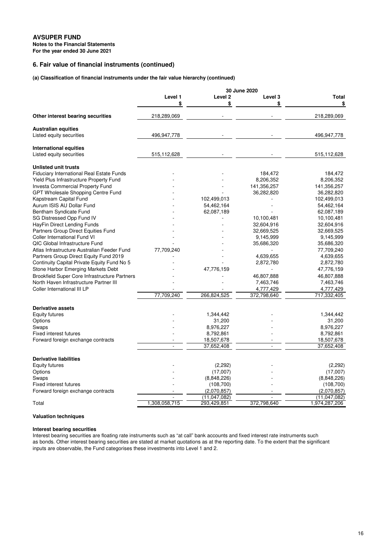# **6. Fair value of financial instruments (continued)**

# **(a) Classification of financial instruments under the fair value hierarchy (continued)**

|                                                        | Level 1       | Level <sub>2</sub> | Level 3     | Total          |
|--------------------------------------------------------|---------------|--------------------|-------------|----------------|
|                                                        | \$            | \$                 | \$          | \$             |
| Other interest bearing securities                      | 218,289,069   |                    |             | 218,289,069    |
| <b>Australian equities</b><br>Listed equity securities | 496,947,778   |                    |             | 496,947,778    |
|                                                        |               |                    |             |                |
| International equities                                 |               |                    |             |                |
| Listed equity securities                               | 515,112,628   |                    |             | 515,112,628    |
| <b>Unlisted unit trusts</b>                            |               |                    |             |                |
| <b>Fiduciary International Real Estate Funds</b>       |               |                    | 184,472     | 184,472        |
| Yield Plus Infrastructure Property Fund                |               |                    | 8,206,352   | 8,206,352      |
| <b>Investa Commercial Property Fund</b>                |               |                    | 141,356,257 | 141,356,257    |
| GPT Wholesale Shopping Centre Fund                     |               |                    | 36,282,820  | 36,282,820     |
| Kapstream Capital Fund                                 |               | 102,499,013        |             | 102,499,013    |
| Aurum ISIS AU Dollar Fund                              |               | 54,462,164         |             |                |
|                                                        |               |                    |             | 54,462,164     |
| Bentham Syndicate Fund                                 |               | 62,087,189         |             | 62,087,189     |
| SG Distressed Opp Fund IV                              |               |                    | 10,100,481  | 10,100,481     |
| HayFin Direct Lending Funds                            |               |                    | 32,604,916  | 32,604,916     |
| Partners Group Direct Equities Fund                    |               |                    | 32,669,525  | 32,669,525     |
| <b>Coller International Fund VI</b>                    |               |                    | 9,145,999   | 9,145,999      |
| QIC Global Infrastructure Fund                         |               |                    | 35,686,320  | 35,686,320     |
| Atlas Infrastructure Australian Feeder Fund            | 77,709,240    |                    |             | 77,709,240     |
| Partners Group Direct Equity Fund 2019                 |               |                    | 4,639,655   | 4,639,655      |
| Continuity Capital Private Equity Fund No 5            |               |                    | 2,872,780   | 2,872,780      |
| Stone Harbor Emerging Markets Debt                     |               | 47,776,159         |             | 47,776,159     |
|                                                        |               |                    |             |                |
| <b>Brookfield Super Core Infrastructure Partners</b>   |               |                    | 46,807,888  | 46,807,888     |
| North Haven Infrastructure Partner III                 |               |                    | 7,463,746   | 7,463,746      |
| Coller International III LP                            |               |                    | 4,777,429   | 4,777,429      |
|                                                        | 77,709,240    | 266,824,525        | 372,798,640 | 717,332,405    |
| <b>Derivative assets</b>                               |               |                    |             |                |
| <b>Equity futures</b>                                  |               | 1,344,442          |             | 1,344,442      |
| Options                                                |               | 31,200             |             | 31,200         |
| Swaps                                                  |               | 8,976,227          |             | 8,976,227      |
| <b>Fixed interest futures</b>                          |               | 8,792,861          |             | 8,792,861      |
| Forward foreign exchange contracts                     |               | 18,507,678         |             | 18,507,678     |
|                                                        |               | 37,652,408         |             | 37,652,408     |
|                                                        |               |                    |             |                |
| <b>Derivative liabilities</b>                          |               |                    |             |                |
| <b>Equity futures</b>                                  |               | (2,292)            |             | (2,292)        |
| Options                                                |               | (17,007)           |             | (17,007)       |
| Swaps                                                  |               | (8,848,226)        |             | (8,848,226)    |
| <b>Fixed interest futures</b>                          |               | (108,700)          |             | (108,700)      |
| Forward foreign exchange contracts                     |               | (2,070,857)        |             | (2,070,857)    |
|                                                        |               | (11, 047, 082)     |             | (11, 047, 082) |
| Total                                                  | 1,308,058,715 | 293,429,851        | 372,798,640 | 1,974,287,206  |

# **Valuation techniques**

# **Interest bearing securities**

Interest bearing securities are floating rate instruments such as "at call" bank accounts and fixed interest rate instruments such as bonds. Other interest bearing securities are stated at market quotations as at the reporting date. To the extent that the significant inputs are observable, the Fund categorises these investments into Level 1 and 2.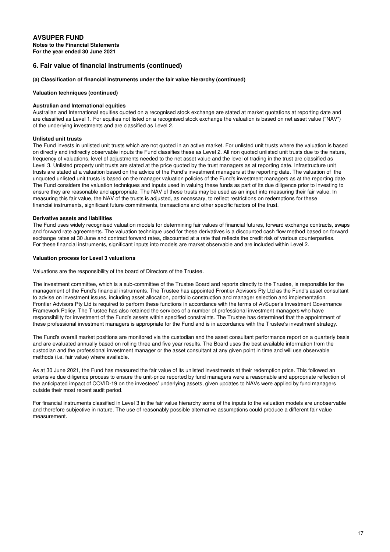# **AVSUPER FUND Notes to the Financial Statements For the year ended 30 June 2021**

# **6. Fair value of financial instruments (continued)**

#### **(a) Classification of financial instruments under the fair value hierarchy (continued)**

#### **Valuation techniques (continued)**

#### **Australian and International equities**

Australian and International equities quoted on a recognised stock exchange are stated at market quotations at reporting date and are classified as Level 1. For equities not listed on a recognised stock exchange the valuation is based on net asset value ("NAV") of the underlying investments and are classified as Level 2.

#### **Unlisted unit trusts**

The Fund invests in unlisted unit trusts which are not quoted in an active market. For unlisted unit trusts where the valuation is based on directly and indirectly observable inputs the Fund classifies these as Level 2. All non quoted unlisted unit trusts due to the nature, frequency of valuations, level of adjustments needed to the net asset value and the level of trading in the trust are classified as Level 3. Unlisted property unit trusts are stated at the price quoted by the trust managers as at reporting date. Infrastructure unit trusts are stated at a valuation based on the advice of the Fund's investment managers at the reporting date. The valuation of the unquoted unlisted unit trusts is based on the manager valuation policies of the Fund's investment managers as at the reporting date. The Fund considers the valuation techniques and inputs used in valuing these funds as part of its due diligence prior to investing to ensure they are reasonable and appropriate. The NAV of these trusts may be used as an input into measuring their fair value. In measuring this fair value, the NAV of the trusts is adjusted, as necessary, to reflect restrictions on redemptions for these financial instruments, significant future commitments, transactions and other specific factors of the trust.

#### **Derivative assets and liabilities**

The Fund uses widely recognised valuation models for determining fair values of financial futures, forward exchange contracts, swaps and forward rate agreements. The valuation technique used for these derivatives is a discounted cash flow method based on forward exchange rates at 30 June and contract forward rates, discounted at a rate that reflects the credit risk of various counterparties. For these financial instruments, significant inputs into models are market observable and are included within Level 2.

#### **Valuation process for Level 3 valuations**

Valuations are the responsibility of the board of Directors of the Trustee.

The investment committee, which is a sub-committee of the Trustee Board and reports directly to the Trustee, is responsible for the management of the Fund's financial instruments. The Trustee has appointed Frontier Advisors Pty Ltd as the Fund's asset consultant to advise on investment issues, including asset allocation, portfolio construction and manager selection and implementation. Frontier Advisors Pty Ltd is required to perform these functions in accordance with the terms of AvSuper's Investment Governance Framework Policy. The Trustee has also retained the services of a number of professional investment managers who have responsibility for investment of the Fund's assets within specified constraints. The Trustee has determined that the appointment of these professional investment managers is appropriate for the Fund and is in accordance with the Trustee's investment strategy.

The Fund's overall market positions are monitored via the custodian and the asset consultant performance report on a quarterly basis and are evaluated annually based on rolling three and five year results. The Board uses the best available information from the custodian and the professional investment manager or the asset consultant at any given point in time and will use observable methods (i.e. fair value) where available.

As at 30 June 2021, the Fund has measured the fair value of its unlisted investments at their redemption price. This followed an extensive due diligence process to ensure the unit-price reported by fund managers were a reasonable and appropriate reflection of the anticipated impact of COVID-19 on the investees' underlying assets, given updates to NAVs were applied by fund managers outside their most recent audit period.

For financial instruments classified in Level 3 in the fair value hierarchy some of the inputs to the valuation models are unobservable and therefore subjective in nature. The use of reasonably possible alternative assumptions could produce a different fair value measurement.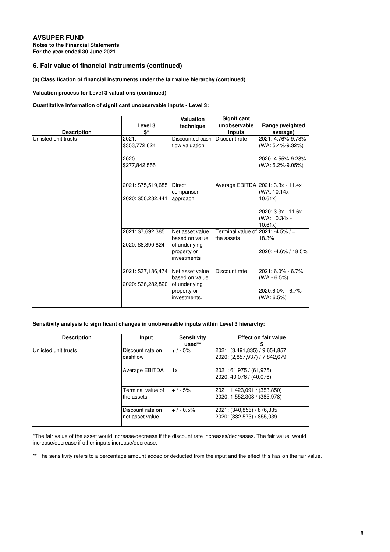**Notes to the Financial Statements For the year ended 30 June 2021**

# **6. Fair value of financial instruments (continued)**

# **(a) Classification of financial instruments under the fair value hierarchy (continued)**

# **Valuation process for Level 3 valuations (continued)**

# **Quantitative information of significant unobservable inputs - Level 3:**

|                      |                        | <b>Valuation</b>                                | Significant                                     |                                                    |
|----------------------|------------------------|-------------------------------------------------|-------------------------------------------------|----------------------------------------------------|
|                      | Level 3                | technique                                       | unobservable                                    | Range (weighted                                    |
| <b>Description</b>   | \$*                    |                                                 | inputs                                          | average)                                           |
| Unlisted unit trusts | 2021:<br>\$353,772,624 | Discounted cash Discount rate<br>flow valuation |                                                 | 2021: 4.76%-9.78%<br>(WA: 5.4%-9.32%)              |
|                      | 2020:<br>\$277,842,555 |                                                 |                                                 | 2020: 4.55%-9.28%<br>(WA: 5.2%-9.05%)              |
|                      | 2021: \$75,519,685     | Direct<br>comparison                            |                                                 | Average EBITDA 2021: 3.3x - 11.4x<br>(WA: 10.14x - |
|                      | 2020: \$50,282,441     | approach                                        |                                                 | 10.61x                                             |
|                      |                        |                                                 |                                                 | 2020: 3.3x - 11.6x<br>(WA: 10.34x -<br>10.61x      |
|                      | 2021: \$7,692,385      | Net asset value<br>based on value               | Terminal value of 2021: -4.5% / +<br>the assets | 18.3%                                              |
|                      | 2020: \$8,390,824      | of underlying<br>property or<br>investments     |                                                 | 2020: -4.6% / 18.5%                                |
|                      | 2021: \$37.186.474     | Net asset value<br>based on value               | Discount rate                                   | 2021: 6.0% - 6.7%<br>$(WA - 6.5%)$                 |
|                      | 2020: \$36,282,820     | of underlying<br>property or<br>investments.    |                                                 | 2020:6.0% - 6.7%<br>(WA: 6.5%)                     |

#### **Sensitivity analysis to significant changes in unobversable inputs within Level 3 hierarchy:**

| <b>Description</b>   | Input                               | <b>Sensitivity</b><br>$used**$ | Effect on fair value                                            |
|----------------------|-------------------------------------|--------------------------------|-----------------------------------------------------------------|
| Unlisted unit trusts | Discount rate on<br>cashflow        | $+$ / - 5%                     | 2021: (3,491,835) / 9,654,857<br> 2020: (2,857,937) / 7,842,679 |
|                      | Average EBITDA                      | 1x                             | 2021: 61,975 / (61,975)<br>2020: 40,076 / (40,076)              |
|                      | Terminal value of<br>the assets     | $+ / -5%$                      | 2021: 1,423,091 / (353,850)<br> 2020: 1,552,303 / (385,978)     |
|                      | Discount rate on<br>net asset value | $+/-0.5%$                      | 2021: (340,856) / 876,335<br> 2020: (332,573) / 855,039         |

\*The fair value of the asset would increase/decrease if the discount rate increases/decreases. The fair value would increase/decrease if other inputs increase/decrease.

\*\* The sensitivity refers to a percentage amount added or deducted from the input and the effect this has on the fair value.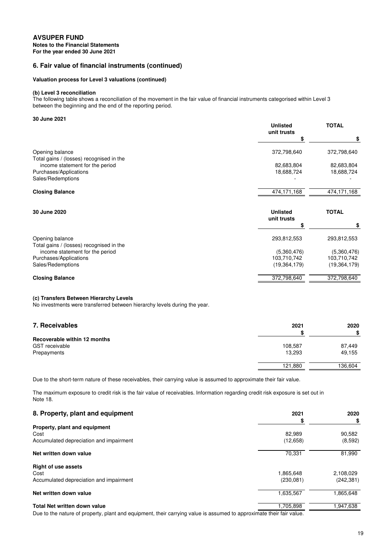**For the year ended 30 June 2021 Notes to the Financial Statements**

# **6. Fair value of financial instruments (continued)**

# **Valuation process for Level 3 valuations (continued)**

### **(b) Level 3 reconciliation**

The following table shows a reconciliation of the movement in the fair value of financial instruments categorised within Level 3 between the beginning and the end of the reporting period.

### **30 June 2021**

|                                                                             | <b>Unlisted</b><br>unit trusts | <b>TOTAL</b>   |  |
|-----------------------------------------------------------------------------|--------------------------------|----------------|--|
|                                                                             | \$                             | \$             |  |
| Opening balance                                                             | 372,798,640                    | 372,798,640    |  |
| Total gains / (losses) recognised in the<br>income statement for the period | 82,683,804                     | 82,683,804     |  |
| Purchases/Applications                                                      | 18,688,724                     | 18,688,724     |  |
| Sales/Redemptions                                                           |                                |                |  |
| <b>Closing Balance</b>                                                      | 474,171,168                    | 474,171,168    |  |
| 30 June 2020                                                                | <b>Unlisted</b><br>unit trusts | <b>TOTAL</b>   |  |
|                                                                             | S                              | \$             |  |
| Opening balance                                                             | 293,812,553                    | 293,812,553    |  |
| Total gains / (losses) recognised in the<br>income statement for the period | (5,360,476)                    | (5,360,476)    |  |
| Purchases/Applications                                                      | 103,710,742                    | 103,710,742    |  |
| Sales/Redemptions                                                           | (19, 364, 179)                 | (19, 364, 179) |  |
| <b>Closing Balance</b>                                                      | 372,798,640                    | 372,798,640    |  |

# **(c) Transfers Between Hierarchy Levels**

No investments were transferred between hierarchy levels during the year.

| 7. Receivables               | 2021    | 2020    |
|------------------------------|---------|---------|
|                              |         | \$      |
| Recoverable within 12 months |         |         |
| <b>GST</b> receivable        | 108,587 | 87.449  |
| Prepayments                  | 13.293  | 49,155  |
|                              | 121,880 | 136,604 |

Due to the short-term nature of these receivables, their carrying value is assumed to approximate their fair value.

The maximum exposure to credit risk is the fair value of receivables. Information regarding credit risk exposure is set out in Note 18.

| 8. Property, plant and equipment        | 2021      | 2020       |
|-----------------------------------------|-----------|------------|
|                                         |           | \$         |
| Property, plant and equipment           |           |            |
| Cost                                    | 82.989    | 90,582     |
| Accumulated depreciation and impairment | (12,658)  | (8,592)    |
| Net written down value                  | 70,331    | 81,990     |
| <b>Right of use assets</b>              |           |            |
| Cost                                    | 1,865,648 | 2,108,029  |
| Accumulated depreciation and impairment | (230,081) | (242, 381) |
| Net written down value                  | 1,635,567 | 1,865,648  |
| <b>Total Net written down value</b>     | 1,705.898 | 1,947,638  |
|                                         | .         |            |

Due to the nature of property, plant and equipment, their carrying value is assumed to approximate their fair value.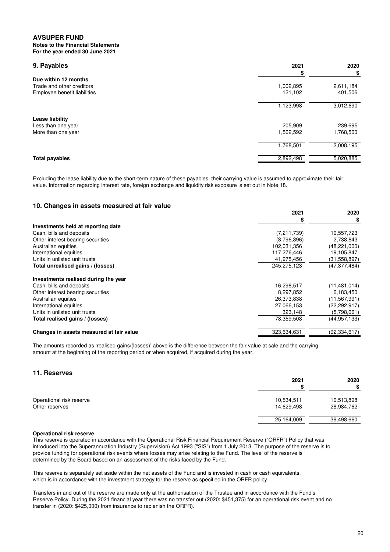**Notes to the Financial Statements For the year ended 30 June 2021**

| 9. Payables                  | 2021      | 2020      |
|------------------------------|-----------|-----------|
|                              |           | \$        |
| Due within 12 months         |           |           |
| Trade and other creditors    | 1,002,895 | 2,611,184 |
| Employee benefit liabilities | 121,102   | 401,506   |
|                              | 1,123,998 | 3,012,690 |
| Lease liability              |           |           |
| Less than one year           | 205,909   | 239,695   |
| More than one year           | 1,562,592 | 1,768,500 |
|                              | 1,768,501 | 2,008,195 |
| <b>Total payables</b>        | 2,892,498 | 5,020,885 |

Excluding the lease liability due to the short-term nature of these payables, their carrying value is assumed to approximate their fair value. Information regarding interest rate, foreign exchange and liquidity risk exposure is set out in Note 18.

# **10. Changes in assets measured at fair value**

|                                          | 2021          | 2020           |
|------------------------------------------|---------------|----------------|
|                                          |               |                |
| Investments held at reporting date       |               |                |
| Cash, bills and deposits                 | (7, 211, 739) | 10,557,723     |
| Other interest bearing securities        | (8,796,396)   | 2,738,843      |
| Australian equities                      | 102,031,356   | (48, 221, 000) |
| International equities                   | 117,276,446   | 19,105,847     |
| Units in unlisted unit trusts            | 41,975,456    | (31, 558, 897) |
| Total unrealised gains / (losses)        | 245,275,123   | (47, 377, 484) |
| Investments realised during the year     |               |                |
| Cash, bills and deposits                 | 16,298,517    | (11, 481, 014) |
| Other interest bearing securities        | 8,297,852     | 6,183,450      |
| Australian equities                      | 26,373,838    | (11, 567, 991) |
| International equities                   | 27,066,153    | (22,292,917)   |
| Units in unlisted unit trusts            | 323,148       | (5,798,661)    |
| Total realised gains / (losses)          | 78,359,508    | (44, 957, 133) |
| Changes in assets measured at fair value | 323,634,631   | (92, 334, 617) |

The amounts recorded as 'realised gains/(losses)' above is the difference between the fair value at sale and the carrying amount at the beginning of the reporting period or when acquired, if acquired during the year.

# **11. Reserves**

|                                            | 2021                     | 2020<br>\$               |
|--------------------------------------------|--------------------------|--------------------------|
| Operational risk reserve<br>Other reserves | 10,534,511<br>14,629,498 | 10,513,898<br>28,984,762 |
|                                            | 25,164,009               | 39,498,660               |

#### **Operational risk reserve**

This reserve is operated in accordance with the Operational Risk Financial Requirement Reserve ("ORFR") Policy that was introduced into the Superannuation Industry (Supervision) Act 1993 ("SIS") from 1 July 2013. The purpose of the reserve is to provide funding for operational risk events where losses may arise relating to the Fund. The level of the reserve is determined by the Board based on an assessment of the risks faced by the Fund.

This reserve is separately set aside within the net assets of the Fund and is invested in cash or cash equivalents, which is in accordance with the investment strategy for the reserve as specified in the ORFR policy.

Transfers in and out of the reserve are made only at the authorisation of the Trustee and in accordance with the Fund's Reserve Policy. During the 2021 financial year there was no transfer out (2020: \$451,375) for an operational risk event and no transfer in (2020: \$425,000) from insurance to replenish the ORFR).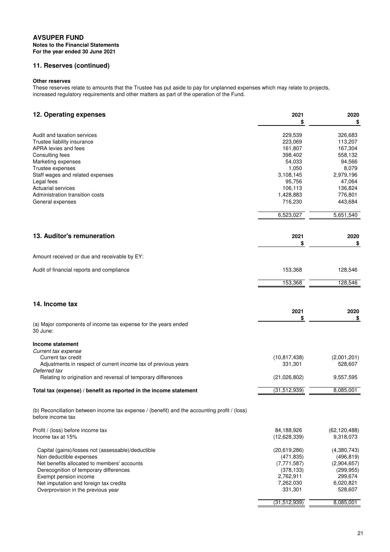**Notes to the Financial Statements For the year ended 30 June 2021**

# **11. Reserves (continued)**

# **Other reserves**

These reserves relate to amounts that the Trustee has put aside to pay for unplanned expenses which may relate to projects, increased regulatory requirements and other matters as part of the operation of the Fund.

| 12. Operating expenses                                                                                            | 2021<br>\$                | 2020<br>\$             |
|-------------------------------------------------------------------------------------------------------------------|---------------------------|------------------------|
| Audit and taxation services<br>Trustee liability insurance                                                        | 229,539<br>223,069        | 326,683<br>113,207     |
| APRA levies and fees                                                                                              | 161,807                   | 167,304                |
| Consulting fees                                                                                                   | 398,402                   | 558,132                |
| Marketing expenses                                                                                                | 54,033                    | 94,566                 |
| Trustee expenses                                                                                                  | 1,050                     | 8,079                  |
| Staff wages and related expenses                                                                                  | 3,108,145                 | 2,979,196              |
| Legal fees                                                                                                        | 95,756                    | 47,064                 |
| <b>Actuarial services</b>                                                                                         | 106,113                   | 136,824                |
| Administration transition costs                                                                                   | 1,428,883                 | 776,801                |
| General expenses                                                                                                  | 716,230                   | 443,684                |
|                                                                                                                   | 6,523,027                 | 5,651,540              |
| 13. Auditor's remuneration                                                                                        | 2021                      | 2020                   |
|                                                                                                                   | \$                        | \$                     |
| Amount received or due and receivable by EY:                                                                      |                           |                        |
| Audit of financial reports and compliance                                                                         | 153,368                   | 128,546                |
|                                                                                                                   | 153,368                   | 128,546                |
| 14. Income tax                                                                                                    | 2021                      | 2020                   |
|                                                                                                                   | \$                        | \$                     |
| (a) Major components of income tax expense for the years ended<br>30 June:                                        |                           |                        |
| Income statement                                                                                                  |                           |                        |
| Current tax expense                                                                                               |                           |                        |
| Current tax credit<br>Adjustments in respect of current income tax of previous years                              | (10, 817, 438)<br>331,301 | (2,001,201)<br>528,607 |
| Deferred tax                                                                                                      |                           |                        |
| Relating to origination and reversal of temporary differences                                                     | (21,026,802)              | 9,557,595              |
| Total tax (expense) / benefit as reported in the income statement                                                 | (31, 512, 939)            | 8,085,001              |
| (b) Reconciliation between income tax expense / (benefit) and the accounting profit / (loss)<br>before income tax |                           |                        |
| Profit / (loss) before income tax                                                                                 | 84,188,926                | (62, 120, 488)         |
| Income tax at 15%                                                                                                 | (12,628,339)              | 9,318,073              |
| Capital (gains)/losses not (assessable)/deductible                                                                | (20,619,286)              | (4,380,743)            |
| Non deductible expenses                                                                                           | (471, 835)                | (496, 819)             |
| Net benefits allocated to members' accounts                                                                       | (7, 771, 587)             | (2,904,657)            |
| Derecognition of temporary differences<br>Exempt pension income                                                   | (378, 133)<br>2,762,911   | (299, 955)<br>299,674  |
| Net imputation and foreign tax credits                                                                            | 7,262,030                 | 6,020,821              |
| Overprovision in the previous year                                                                                | 331,301                   | 528,607                |
|                                                                                                                   | (31, 512, 939)            | 8,085,001              |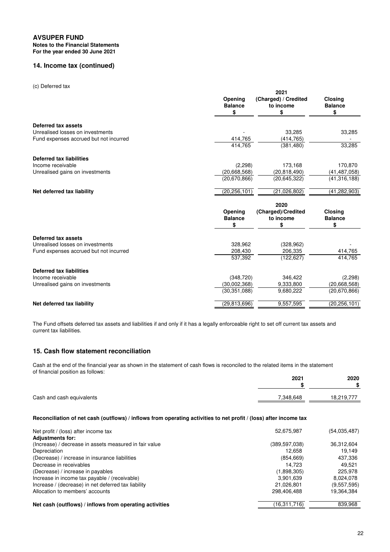# **AVSUPER FUND Notes to the Financial Statements**

**For the year ended 30 June 2021**

# **14. Income tax (continued)**

#### (c) Deferred tax

| Opening<br><b>Balance</b><br>\$ | (Charged) / Credited<br>to income<br>\$ | <b>Closing</b><br><b>Balance</b><br>\$ |
|---------------------------------|-----------------------------------------|----------------------------------------|
|                                 |                                         |                                        |
|                                 |                                         |                                        |
|                                 | 33.285                                  | 33,285                                 |
| 414,765                         | (414, 765)                              |                                        |
| 414,765                         | (381, 480)                              | 33,285                                 |
|                                 |                                         |                                        |
| (2,298)                         | 173,168                                 | 170,870                                |
| (20,668,568)                    | (20, 818, 490)                          | (41, 487, 058)                         |
| (20,670,866)                    | (20, 645, 322)                          | (41, 316, 188)                         |
| (20, 256, 101)                  | (21,026,802)                            | (41, 282, 903)                         |
|                                 | 2020                                    |                                        |
| Opening<br><b>Balance</b>       | (Charged)/Credited<br>to income         | <b>Closing</b><br><b>Balance</b><br>\$ |
|                                 |                                         |                                        |
|                                 |                                         |                                        |
| 328,962                         | (328, 962)                              |                                        |
| 208,430                         | 206,335                                 | 414,765                                |
| 537,392                         | (122, 627)                              | 414,765                                |
|                                 |                                         |                                        |
|                                 | 346.422                                 | (2,298)                                |
|                                 | 9,333,800                               | (20, 668, 568)                         |
| (30.351.088)                    | 9,680,222                               | (20,670,866)                           |
| (29, 813, 696)                  | 9,557,595                               | (20, 256, 101)                         |
|                                 | \$<br>(348, 720)<br>(30,002,368)        | \$                                     |

The Fund offsets deferred tax assets and liabilities if and only if it has a legally enforceable right to set off current tax assets and current tax liabilities.

# **15. Cash flow statement reconciliation**

Cash at the end of the financial year as shown in the statement of cash flows is reconciled to the related items in the statement of financial position as follows:

|                           | 2021      | 2020       |
|---------------------------|-----------|------------|
|                           |           | œ<br>æ     |
| Cash and cash equivalents | 7.348.648 | 18.219.777 |

# **Reconciliation of net cash (outflows) / inflows from operating activities to net profit / (loss) after income tax**

| Net profit / (loss) after income tax                    | 52,675,987    | (54,035,487) |
|---------------------------------------------------------|---------------|--------------|
| <b>Adjustments for:</b>                                 |               |              |
| (Increase) / decrease in assets measured in fair value  | (389,597,038) | 36,312,604   |
| Depreciation                                            | 12.658        | 19.149       |
| (Decrease) / increase in insurance liabilities          | (854, 669)    | 437,336      |
| Decrease in receivables                                 | 14.723        | 49.521       |
| (Decrease) / increase in payables                       | (1,898,305)   | 225.978      |
| Increase in income tax payable / (receivable)           | 3.901.639     | 8,024,078    |
| Increase / (decrease) in net deferred tax liability     | 21,026,801    | (9,557,595)  |
| Allocation to members' accounts                         | 298,406,488   | 19,364,384   |
| Net cash (outflows) / inflows from operating activities | (16,311,716)  | 839,968      |
|                                                         |               |              |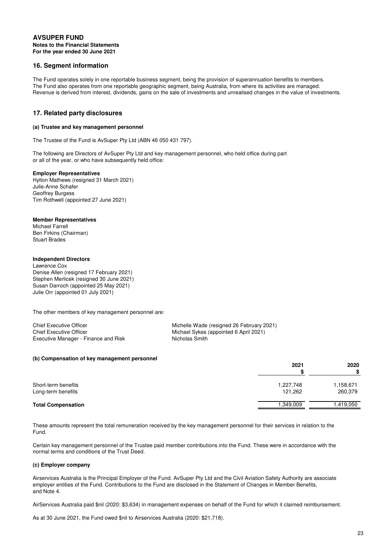# **AVSUPER FUND Notes to the Financial Statements For the year ended 30 June 2021**

# **16. Segment information**

The Fund operates solely in one reportable business segment, being the provision of superannuation benefits to members. The Fund also operates from one reportable geographic segment, being Australia, from where its activities are managed. Revenue is derived from interest, dividends, gains on the sale of investments and unrealised changes in the value of investments.

# **17. Related party disclosures**

#### **(a) Trustee and key management personnel**

The Trustee of the Fund is AvSuper Pty Ltd (ABN 46 050 431 797).

The following are Directors of AvSuper Pty Ltd and key management personnel, who held office during part or all of the year, or who have subsequently held office:

#### **Employer Representatives**

Hylton Mathews (resigned 31 March 2021) Julie-Anne Schafer Geoffrey Burgess Tim Rothwell (appointed 27 June 2021)

#### **Member Representatives**

Michael Farrell Ben Firkins (Chairman) Stuart Brades

#### **Independent Directors**

Lawrence Cox Denise Allen (resigned 17 February 2021) Stephen Merlicek (resigned 30 June 2021) Susan Darroch (appointed 25 May 2021) Julie Orr (appointed 01 July 2021)

The other members of key management personnel are:

| Chief Executive Officer              | Michelle Wade (resigned 26 February 2021) |
|--------------------------------------|-------------------------------------------|
| Chief Executive Officer              | Michael Sykes (appointed 6 April 2021)    |
| Executive Manager - Finance and Risk | Nicholas Smith                            |

#### **(b) Compensation of key management personnel**

|                                           | 2021                 | 2020<br>\$           |
|-------------------------------------------|----------------------|----------------------|
| Short-term benefits<br>Long-term benefits | 1,227,748<br>121,262 | 1,158,671<br>260,379 |
| <b>Total Compensation</b>                 | 1.349.009            | 1,419,050            |

These amounts represent the total remuneration received by the key management personnel for their services in relation to the Fund.

Certain key management personnel of the Trustee paid member contributions into the Fund. These were in accordance with the normal terms and conditions of the Trust Deed.

#### **(c) Employer company**

Airservices Australia is the Principal Employer of the Fund. AvSuper Pty Ltd and the Civil Aviation Safety Authority are associate employer entities of the Fund. Contributions to the Fund are disclosed in the Statement of Changes in Member Benefits, and Note 4.

AirServices Australia paid \$nil (2020: \$3,634) in management expenses on behalf of the Fund for which it claimed reimbursement.

As at 30 June 2021, the Fund owed \$nil to Airservices Australia (2020: \$21,718).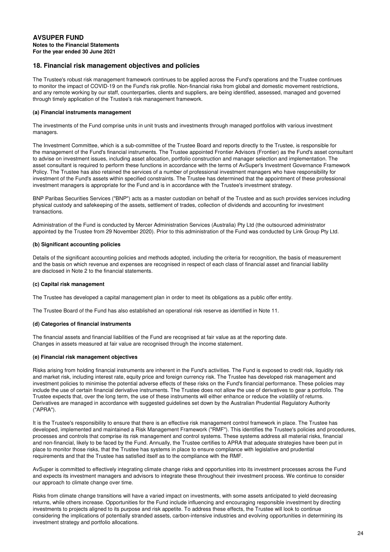# **For the year ended 30 June 2021 Notes to the Financial Statements AVSUPER FUND**

# **18. Financial risk management objectives and policies**

The Trustee's robust risk management framework continues to be applied across the Fund's operations and the Trustee continues to monitor the impact of COVID-19 on the Fund's risk profile. Non-financial risks from global and domestic movement restrictions, and any remote working by our staff, counterparties, clients and suppliers, are being identified, assessed, managed and governed through timely application of the Trustee's risk management framework.

# **(a) Financial instruments management**

The investments of the Fund comprise units in unit trusts and investments through managed portfolios with various investment managers.

The Investment Committee, which is a sub-committee of the Trustee Board and reports directly to the Trustee, is responsible for the management of the Fund's financial instruments. The Trustee appointed Frontier Advisors (Frontier) as the Fund's asset consultant to advise on investment issues, including asset allocation, portfolio construction and manager selection and implementation. The asset consultant is required to perform these functions in accordance with the terms of AvSuper's Investment Governance Framework Policy. The Trustee has also retained the services of a number of professional investment managers who have responsibility for investment of the Fund's assets within specified constraints. The Trustee has determined that the appointment of these professional investment managers is appropriate for the Fund and is in accordance with the Trustee's investment strategy.

BNP Paribas Securities Services ("BNP") acts as a master custodian on behalf of the Trustee and as such provides services including physical custody and safekeeping of the assets, settlement of trades, collection of dividends and accounting for investment transactions.

Administration of the Fund is conducted by Mercer Administration Services (Australia) Pty Ltd (the outsourced administrator appointed by the Trustee from 29 November 2020). Prior to this administration of the Fund was conducted by Link Group Pty Ltd.

# **(b) Significant accounting policies**

Details of the significant accounting policies and methods adopted, including the criteria for recognition, the basis of measurement and the basis on which revenue and expenses are recognised in respect of each class of financial asset and financial liability are disclosed in Note 2 to the financial statements.

# **(c) Capital risk management**

The Trustee has developed a capital management plan in order to meet its obligations as a public offer entity.

The Trustee Board of the Fund has also established an operational risk reserve as identified in Note 11.

# **(d) Categories of financial instruments**

The financial assets and financial liabilities of the Fund are recognised at fair value as at the reporting date. Changes in assets measured at fair value are recognised through the income statement.

# **(e) Financial risk management objectives**

Risks arising from holding financial instruments are inherent in the Fund's activities. The Fund is exposed to credit risk, liquidity risk and market risk, including interest rate, equity price and foreign currency risk. The Trustee has developed risk management and investment policies to minimise the potential adverse effects of these risks on the Fund's financial performance. These policies may include the use of certain financial derivative instruments. The Trustee does not allow the use of derivatives to gear a portfolio. The Trustee expects that, over the long term, the use of these instruments will either enhance or reduce the volatility of returns. Derivatives are managed in accordance with suggested guidelines set down by the Australian Prudential Regulatory Authority ("APRA").

It is the Trustee's responsibility to ensure that there is an effective risk management control framework in place. The Trustee has developed, implemented and maintained a Risk Management Framework ("RMF"). This identifies the Trustee's policies and procedures, processes and controls that comprise its risk management and control systems. These systems address all material risks, financial and non-financial, likely to be faced by the Fund. Annually, the Trustee certifies to APRA that adequate strategies have been put in place to monitor those risks, that the Trustee has systems in place to ensure compliance with legislative and prudential requirements and that the Trustee has satisfied itself as to the compliance with the RMF.

AvSuper is committed to effectively integrating climate change risks and opportunities into its investment processes across the Fund and expects its investment managers and advisors to integrate these throughout their investment process. We continue to consider our approach to climate change over time.

Risks from climate change transitions will have a varied impact on investments, with some assets anticipated to yield decreasing returns, while others increase. Opportunities for the Fund include influencing and encouraging responsible investment by directing investments to projects aligned to its purpose and risk appetite. To address these effects, the Trustee will look to continue considering the implications of potentially stranded assets, carbon-intensive industries and evolving opportunities in determining its investment strategy and portfolio allocations.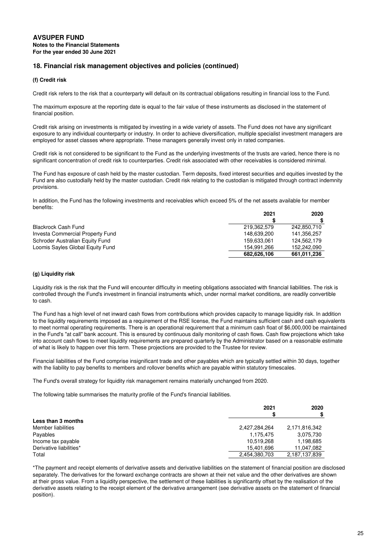# **(f) Credit risk**

Credit risk refers to the risk that a counterparty will default on its contractual obligations resulting in financial loss to the Fund.

The maximum exposure at the reporting date is equal to the fair value of these instruments as disclosed in the statement of financial position.

Credit risk arising on investments is mitigated by investing in a wide variety of assets. The Fund does not have any significant exposure to any individual counterparty or industry. In order to achieve diversification, multiple specialist investment managers are employed for asset classes where appropriate. These managers generally invest only in rated companies.

Credit risk is not considered to be significant to the Fund as the underlying investments of the trusts are varied, hence there is no significant concentration of credit risk to counterparties. Credit risk associated with other receivables is considered minimal.

The Fund has exposure of cash held by the master custodian. Term deposits, fixed interest securities and equities invested by the Fund are also custodially held by the master custodian. Credit risk relating to the custodian is mitigated through contract indemnity provisions.

In addition, the Fund has the following investments and receivables which exceed 5% of the net assets available for member benefits:

|                                  | 2021        | 2020        |
|----------------------------------|-------------|-------------|
|                                  |             |             |
| <b>Blackrock Cash Fund</b>       | 219,362,579 | 242.850.710 |
| Investa Commercial Property Fund | 148.639.200 | 141.356.257 |
| Schroder Australian Equity Fund  | 159,633,061 | 124.562.179 |
| Loomis Sayles Global Equity Fund | 154.991.266 | 152.242.090 |
|                                  | 682.626.106 | 661,011,236 |

# **(g) Liquidity risk**

Liquidity risk is the risk that the Fund will encounter difficulty in meeting obligations associated with financial liabilities. The risk is controlled through the Fund's investment in financial instruments which, under normal market conditions, are readily convertible to cash.

The Fund has a high level of net inward cash flows from contributions which provides capacity to manage liquidity risk. In addition to the liquidity requirements imposed as a requirement of the RSE license, the Fund maintains sufficient cash and cash equivalents to meet normal operating requirements. There is an operational requirement that a minimum cash float of \$6,000,000 be maintained in the Fund's "at call" bank account. This is ensured by continuous daily monitoring of cash flows. Cash flow projections which take into account cash flows to meet liquidity requirements are prepared quarterly by the Administrator based on a reasonable estimate of what is likely to happen over this term. These projections are provided to the Trustee for review.

Financial liabilities of the Fund comprise insignificant trade and other payables which are typically settled within 30 days, together with the liability to pay benefits to members and rollover benefits which are payable within statutory timescales.

The Fund's overall strategy for liquidity risk management remains materially unchanged from 2020.

The following table summarises the maturity profile of the Fund's financial liabilities.

|                         | 2021          | 2020          |
|-------------------------|---------------|---------------|
| Less than 3 months      |               |               |
| Member liabilities      | 2,427,284,264 | 2,171,816,342 |
| Payables                | 1.175.475     | 3,075,730     |
| Income tax payable      | 10,519,268    | 1,198,685     |
| Derivative liabilities* | 15,401,696    | 11,047,082    |
| Total                   | 2,454,380,703 | 2,187,137,839 |

\*The payment and receipt elements of derivative assets and derivative liabilities on the statement of financial position are disclosed separately. The derivatives for the forward exchange contracts are shown at their net value and the other derivatives are shown at their gross value. From a liquidity perspective, the settlement of these liabilities is significantly offset by the realisation of the derivative assets relating to the receipt element of the derivative arrangement (see derivative assets on the statement of financial position).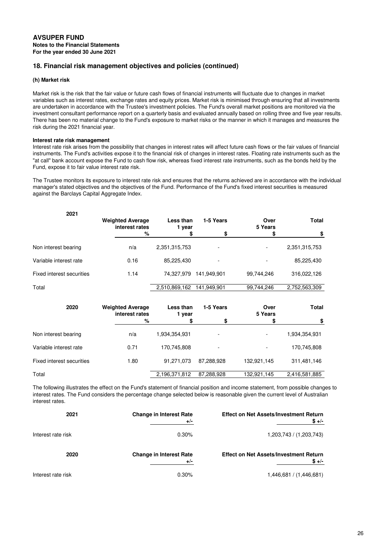# **(h) Market risk**

Market risk is the risk that the fair value or future cash flows of financial instruments will fluctuate due to changes in market variables such as interest rates, exchange rates and equity prices. Market risk is minimised through ensuring that all investments are undertaken in accordance with the Trustee's investment policies. The Fund's overall market positions are monitored via the investment consultant performance report on a quarterly basis and evaluated annually based on rolling three and five year results. There has been no material change to the Fund's exposure to market risks or the manner in which it manages and measures the risk during the 2021 financial year.

### **Interest rate risk management**

Interest rate risk arises from the possibility that changes in interest rates will affect future cash flows or the fair values of financial instruments. The Fund's activities expose it to the financial risk of changes in interest rates. Floating rate instruments such as the "at call" bank account expose the Fund to cash flow risk, whereas fixed interest rate instruments, such as the bonds held by the Fund, expose it to fair value interest rate risk.

The Trustee monitors its exposure to interest rate risk and ensures that the returns achieved are in accordance with the individual manager's stated objectives and the objectives of the Fund. Performance of the Fund's fixed interest securities is measured against the Barclays Capital Aggregate Index.

| 2021                             |                                           |                     |             |                 |               |
|----------------------------------|-------------------------------------------|---------------------|-------------|-----------------|---------------|
|                                  | <b>Weighted Average</b><br>interest rates | Less than<br>1 year | 1-5 Years   | Over<br>5 Years | <b>Total</b>  |
|                                  | %                                         | \$                  | \$          | \$              | \$            |
| Non interest bearing             | n/a                                       | 2,351,315,753       |             |                 | 2,351,315,753 |
| Variable interest rate           | 0.16                                      | 85,225,430          |             |                 | 85,225,430    |
| Fixed interest securities        | 1.14                                      | 74,327,979          | 141,949,901 | 99.744,246      | 316,022,126   |
| Total                            |                                           | 2,510,869,162       | 141,949,901 | 99,744,246      | 2,752,563,309 |
| 2020                             | <b>Weighted Average</b><br>interest rates | Less than<br>1 year | 1-5 Years   | Over<br>5 Years | <b>Total</b>  |
|                                  | ℅                                         | \$                  | \$          | S               | \$            |
| Non interest bearing             | n/a                                       | 1,934,354,931       |             |                 | 1,934,354,931 |
| Variable interest rate           | 0.71                                      | 170,745,808         |             |                 | 170,745,808   |
| <b>Fixed interest securities</b> | 1.80                                      | 91,271,073          | 87,288,928  | 132,921,145     | 311,481,146   |
| Total                            |                                           | 2,196,371,812       | 87,288,928  | 132,921,145     | 2,416,581,885 |

The following illustrates the effect on the Fund's statement of financial position and income statement, from possible changes to interest rates. The Fund considers the percentage change selected below is reasonable given the current level of Australian interest rates.

| 2021               | <b>Change in Interest Rate</b><br>$+/-$ | <b>Effect on Net Assets/Investment Return</b><br>$$+/-$ |
|--------------------|-----------------------------------------|---------------------------------------------------------|
| Interest rate risk | $0.30\%$                                | 1,203,743 / (1,203,743)                                 |
| 2020               | <b>Change in Interest Rate</b><br>$+/-$ | <b>Effect on Net Assets/Investment Return</b><br>$$+/-$ |
| Interest rate risk | 0.30%                                   | 1,446,681 / (1,446,681)                                 |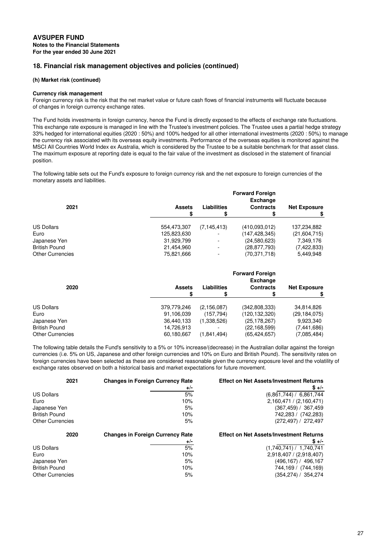### **(h) Market risk (continued)**

#### **Currency risk management**

Foreign currency risk is the risk that the net market value or future cash flows of financial instruments will fluctuate because of changes in foreign currency exchange rates.

The Fund holds investments in foreign currency, hence the Fund is directly exposed to the effects of exchange rate fluctuations. This exchange rate exposure is managed in line with the Trustee's investment policies. The Trustee uses a partial hedge strategy 33% hedged for international equities (2020 : 50%) and 100% hedged for all other international investments (2020 : 50%) to manage the currency risk associated with its overseas equity investments. Performance of the overseas equities is monitored against the MSCI All Countries World Index ex Australia, which is considered by the Trustee to be a suitable benchmark for that asset class. The maximum exposure at reporting date is equal to the fair value of the investment as disclosed in the statement of financial position.

The following table sets out the Fund's exposure to foreign currency risk and the net exposure to foreign currencies of the monetary assets and liabilities.

|                         |                     |                          | <b>Forward Foreign</b><br><b>Exchange</b> |                     |
|-------------------------|---------------------|--------------------------|-------------------------------------------|---------------------|
| 2021                    | <b>Assets</b><br>\$ | <b>Liabilities</b>       | <b>Contracts</b>                          | <b>Net Exposure</b> |
| <b>US Dollars</b>       | 554,473,307         | (7, 145, 413)            | (410.093.012)                             | 137,234,882         |
| Euro                    | 125,823,630         | $\sim$                   | (147,428,345)                             | (21,604,715)        |
| Japanese Yen            | 31,929,799          | $\overline{\phantom{0}}$ | (24,580,623)                              | 7,349,176           |
| <b>British Pound</b>    | 21,454,960          | ۰                        | (28, 877, 793)                            | (7, 422, 833)       |
| <b>Other Currencies</b> | 75,821,666          | $\overline{a}$           | (70.371.718)                              | 5,449,948           |

| 2020                    | <b>Assets</b> | Liabilities   | <b>Forward Foreign</b><br><b>Exchange</b><br><b>Contracts</b> | <b>Net Exposure</b> |
|-------------------------|---------------|---------------|---------------------------------------------------------------|---------------------|
| <b>US Dollars</b>       | 379,779,246   | (2, 156, 087) | (342,808,333)                                                 | 34,814,826          |
| Euro                    | 91,106,039    | (157,794)     | (120,132,320)                                                 | (29, 184, 075)      |
| Japanese Yen            | 36,440,133    | (1,338,526)   | (25, 178, 267)                                                | 9,923,340           |
| <b>British Pound</b>    | 14,726,913    |               | (22,168,599)                                                  | (7,441,686)         |
| <b>Other Currencies</b> | 60,180,667    | (1,841,494)   | (65, 424, 657)                                                | (7,085,484)         |

The following table details the Fund's sensitivity to a 5% or 10% increase/(decrease) in the Australian dollar against the foreign currencies (i.e. 5% on US, Japanese and other foreign currencies and 10% on Euro and British Pound). The sensitivity rates on foreign currencies have been selected as these are considered reasonable given the currency exposure level and the volatility of exchange rates observed on both a historical basis and market expectations for future movement.

| 2021                    | <b>Changes in Foreign Currency Rate</b> | <b>Effect on Net Assets/Investment Returns</b> |
|-------------------------|-----------------------------------------|------------------------------------------------|
|                         | $+/-$                                   | $$+/-$                                         |
| <b>US Dollars</b>       | 5%                                      | (6,861,744) / 6,861,744                        |
| Euro                    | 10%                                     | 2,160,471 / (2,160,471)                        |
| Japanese Yen            | 5%                                      | (367,459) / 367,459                            |
| <b>British Pound</b>    | 10%                                     | 742,283 / (742,283)                            |
| <b>Other Currencies</b> | 5%                                      | (272,497) / 272,497                            |
|                         |                                         |                                                |
| 2020                    | <b>Changes in Foreign Currency Rate</b> | <b>Effect on Net Assets/Investment Returns</b> |
|                         | $+/-$                                   | $$+/-$                                         |
| <b>US Dollars</b>       | 5%                                      | (1,740,741) / 1,740,741                        |
| Euro                    | 10%                                     | 2,918,407 / (2,918,407)                        |
| Japanese Yen            | 5%                                      | (496,167) / 496,167                            |
| <b>British Pound</b>    | 10%                                     | 744,169 / (744,169)                            |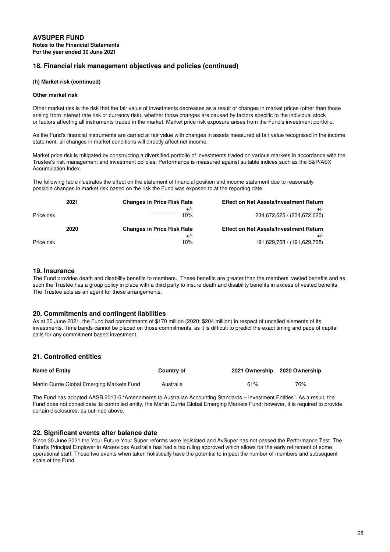### **(h) Market risk (continued)**

#### **Other market risk**

Other market risk is the risk that the fair value of investments decreases as a result of changes in market prices (other than those arising from interest rate risk or currency risk), whether those changes are caused by factors specific to the individual stock or factors affecting all instruments traded in the market. Market price risk exposure arises from the Fund's investment portfolio.

As the Fund's financial instruments are carried at fair value with changes in assets measured at fair value recognised in the income statement, all changes in market conditions will directly affect net income.

Market price risk is mitigated by constructing a diversified portfolio of investments traded on various markets in accordance with the Trustee's risk management and investment policies. Performance is measured against suitable indices such as the S&P/ASX Accumulation Index.

The following table illustrates the effect on the statement of financial position and income statement due to reasonably possible changes in market risk based on the risk the Fund was exposed to at the reporting date.

|            | 2021 | <b>Changes in Price Risk Rate</b> | <b>Effect on Net Assets/Investment Return</b> |
|------------|------|-----------------------------------|-----------------------------------------------|
|            |      | $+/-$                             | $+/-$                                         |
| Price risk |      | 10%                               | 234,672,625 / (234,672,625)                   |
|            |      |                                   |                                               |
|            | 2020 | <b>Changes in Price Risk Rate</b> | <b>Effect on Net Assets/Investment Return</b> |
|            |      | $+/-$<br>10%                      | $+/-$<br>191,629,768 / (191,629,768)          |

# **19. Insurance**

The Fund provides death and disability benefits to members. These benefits are greater than the members' vested benefits and as such the Trustee has a group policy in place with a third party to insure death and disability benefits in excess of vested benefits. The Trustee acts as an agent for these arrangements.

# **20. Commitments and contingent liabilities**

As at 30 June 2021, the Fund had commitments of \$170 million (2020: \$204 million) in respect of uncalled elements of its investments. Time bands cannot be placed on those commitments, as it is difficult to predict the exact timing and pace of capital calls for any commitment based investment.

# **21. Controlled entities**

| <b>Name of Entity</b>                      | <b>Country of</b> | 2021 Ownership 2020 Ownership |     |
|--------------------------------------------|-------------------|-------------------------------|-----|
| Martin Currie Global Emerging Markets Fund | Australia         | 61%                           | 76% |

The Fund has adopted AASB 2013-5 "Amendments to Australian Accounting Standards – Investment Entities". As a result, the Fund does not consolidate its controlled entity, the Martin Currie Global Emerging Markets Fund; however, it is required to provide certain disclosures, as outlined above.

# **22. Significant events after balance date**

Since 30 June 2021 the Your Future Your Super reforms were legislated and AvSuper has not passed the Performance Test. The Fund's Principal Employer in Airservices Australia has had a tax ruling approved which allows for the early retirement of some operational staff. These two events when taken holistically have the potential to impact the number of members and subsequent scale of the Fund.